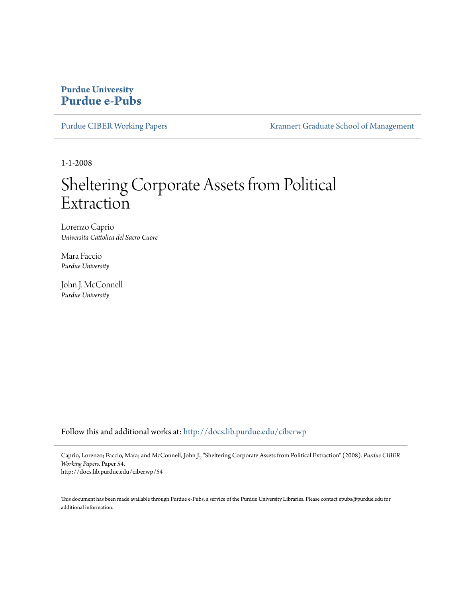## **Purdue University [Purdue e-Pubs](http://docs.lib.purdue.edu?utm_source=docs.lib.purdue.edu%2Fciberwp%2F54&utm_medium=PDF&utm_campaign=PDFCoverPages)**

[Purdue CIBER Working Papers](http://docs.lib.purdue.edu/ciberwp?utm_source=docs.lib.purdue.edu%2Fciberwp%2F54&utm_medium=PDF&utm_campaign=PDFCoverPages) [Krannert Graduate School of Management](http://docs.lib.purdue.edu/kran?utm_source=docs.lib.purdue.edu%2Fciberwp%2F54&utm_medium=PDF&utm_campaign=PDFCoverPages)

1-1-2008

# Sheltering Corporate Assets from Political Extraction

Lorenzo Caprio *Universita Cattolica del Sacro Cuore*

Mara Faccio *Purdue University*

John J. McConnell *Purdue University*

Follow this and additional works at: [http://docs.lib.purdue.edu/ciberwp](http://docs.lib.purdue.edu/ciberwp?utm_source=docs.lib.purdue.edu%2Fciberwp%2F54&utm_medium=PDF&utm_campaign=PDFCoverPages)

Caprio, Lorenzo; Faccio, Mara; and McConnell, John J., "Sheltering Corporate Assets from Political Extraction" (2008). *Purdue CIBER Working Papers.* Paper 54.

http://docs.lib.purdue.edu/ciberwp/54

This document has been made available through Purdue e-Pubs, a service of the Purdue University Libraries. Please contact epubs@purdue.edu for additional information.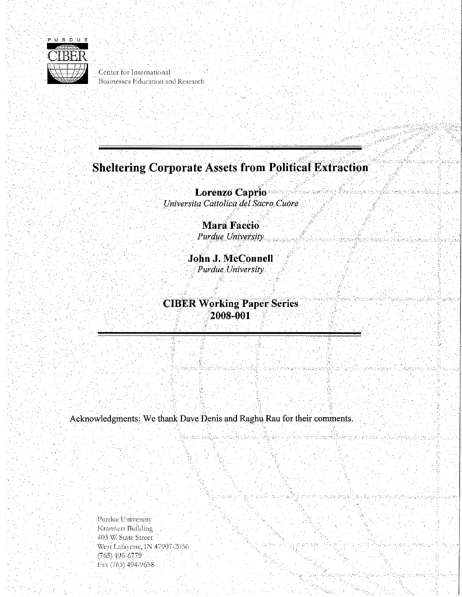

Center for International Businesses Education and Research

## **Sheltering Corporate Assets from Political Extraction**

. In the second contract of the second contract of the second contract of the second contract of the second contract of the second contract of the second contract of the second contract of the second contract of the second

dzenski

**Lorenzo Caprio**  $Universita$  *Cattolica del Sacro Cuore* 

> **Mara Faccio.**  *Purdue University.*

**John J. McConnell**  *:Purdue University.* 

. . .

**CIBER Working Paper Series** 2008~001

Acknowledgments: We thank Dave Denis and Raghu Rau for their comments.

Purdue University Krannert Building *403* \\/.Slate Street . West Lafayette, IN 47907-2056 (765) 496-6779 Fax (765) 494-9658

..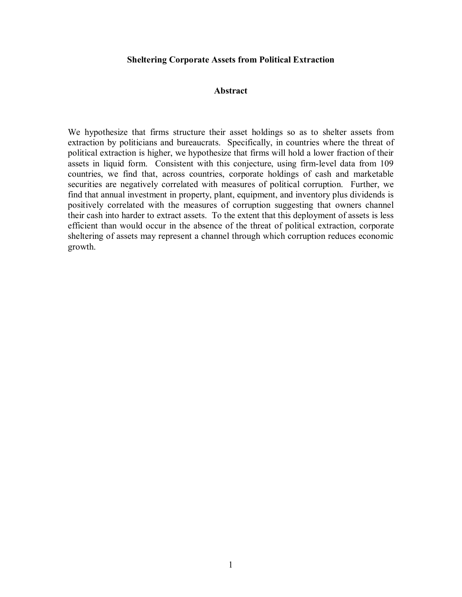## **Sheltering Corporate Assets from Political Extraction**

## **Abstract**

We hypothesize that firms structure their asset holdings so as to shelter assets from extraction by politicians and bureaucrats. Specifically, in countries where the threat of political extraction is higher, we hypothesize that firms will hold a lower fraction of their assets in liquid form. Consistent with this conjecture, using firm-level data from 109 countries, we find that, across countries, corporate holdings of cash and marketable securities are negatively correlated with measures of political corruption. Further, we find that annual investment in property, plant, equipment, and inventory plus dividends is positively correlated with the measures of corruption suggesting that owners channel their cash into harder to extract assets. To the extent that this deployment of assets is less efficient than would occur in the absence of the threat of political extraction, corporate sheltering of assets may represent a channel through which corruption reduces economic growth.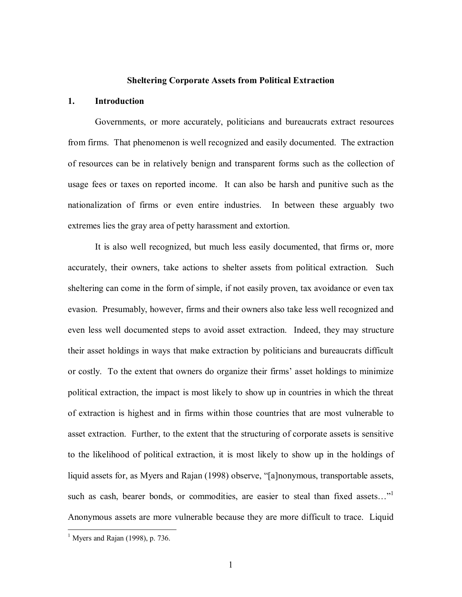#### **Sheltering Corporate Assets from Political Extraction**

## **1. Introduction**

Governments, or more accurately, politicians and bureaucrats extract resources from firms. That phenomenon is well recognized and easily documented. The extraction of resources can be in relatively benign and transparent forms such as the collection of usage fees or taxes on reported income. It can also be harsh and punitive such as the nationalization of firms or even entire industries. In between these arguably two extremes lies the gray area of petty harassment and extortion.

It is also well recognized, but much less easily documented, that firms or, more accurately, their owners, take actions to shelter assets from political extraction. Such sheltering can come in the form of simple, if not easily proven, tax avoidance or even tax evasion. Presumably, however, firms and their owners also take less well recognized and even less well documented steps to avoid asset extraction. Indeed, they may structure their asset holdings in ways that make extraction by politicians and bureaucrats difficult or costly. To the extent that owners do organize their firms' asset holdings to minimize political extraction, the impact is most likely to show up in countries in which the threat of extraction is highest and in firms within those countries that are most vulnerable to asset extraction. Further, to the extent that the structuring of corporate assets is sensitive to the likelihood of political extraction, it is most likely to show up in the holdings of liquid assets for, as Myers and Rajan (1998) observe, "[a]nonymous, transportable assets, such as cash, bearer bonds, or commodities, are easier to steal than fixed assets..." Anonymous assets are more vulnerable because they are more difficult to trace. Liquid

 $<sup>1</sup>$  Myers and Rajan (1998), p. 736.</sup>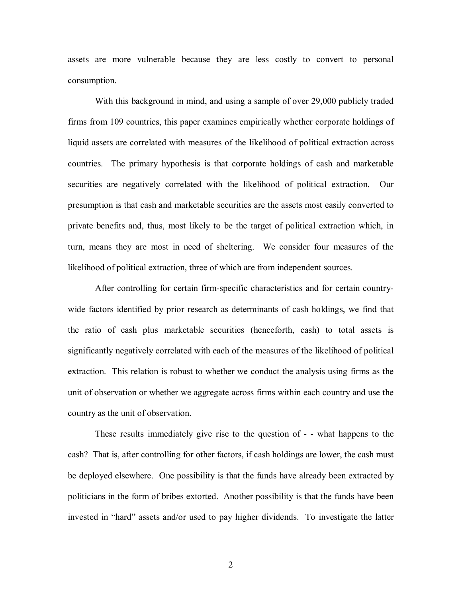assets are more vulnerable because they are less costly to convert to personal consumption.

With this background in mind, and using a sample of over 29,000 publicly traded firms from 109 countries, this paper examines empirically whether corporate holdings of liquid assets are correlated with measures of the likelihood of political extraction across countries. The primary hypothesis is that corporate holdings of cash and marketable securities are negatively correlated with the likelihood of political extraction. Our presumption is that cash and marketable securities are the assets most easily converted to private benefits and, thus, most likely to be the target of political extraction which, in turn, means they are most in need of sheltering. We consider four measures of the likelihood of political extraction, three of which are from independent sources.

After controlling for certain firm-specific characteristics and for certain countrywide factors identified by prior research as determinants of cash holdings, we find that the ratio of cash plus marketable securities (henceforth, cash) to total assets is significantly negatively correlated with each of the measures of the likelihood of political extraction. This relation is robust to whether we conduct the analysis using firms as the unit of observation or whether we aggregate across firms within each country and use the country as the unit of observation.

These results immediately give rise to the question of - - what happens to the cash? That is, after controlling for other factors, if cash holdings are lower, the cash must be deployed elsewhere. One possibility is that the funds have already been extracted by politicians in the form of bribes extorted. Another possibility is that the funds have been invested in "hard" assets and/or used to pay higher dividends. To investigate the latter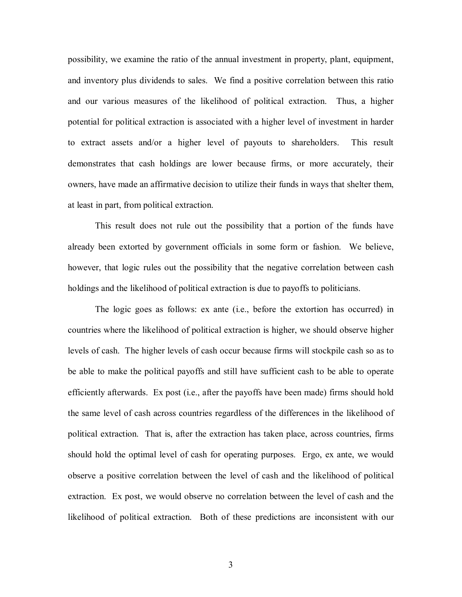possibility, we examine the ratio of the annual investment in property, plant, equipment, and inventory plus dividends to sales. We find a positive correlation between this ratio and our various measures of the likelihood of political extraction. Thus, a higher potential for political extraction is associated with a higher level of investment in harder to extract assets and/or a higher level of payouts to shareholders. This result demonstrates that cash holdings are lower because firms, or more accurately, their owners, have made an affirmative decision to utilize their funds in ways that shelter them, at least in part, from political extraction.

This result does not rule out the possibility that a portion of the funds have already been extorted by government officials in some form or fashion. We believe, however, that logic rules out the possibility that the negative correlation between cash holdings and the likelihood of political extraction is due to payoffs to politicians.

The logic goes as follows: ex ante (i.e., before the extortion has occurred) in countries where the likelihood of political extraction is higher, we should observe higher levels of cash. The higher levels of cash occur because firms will stockpile cash so as to be able to make the political payoffs and still have sufficient cash to be able to operate efficiently afterwards. Ex post (i.e., after the payoffs have been made) firms should hold the same level of cash across countries regardless of the differences in the likelihood of political extraction. That is, after the extraction has taken place, across countries, firms should hold the optimal level of cash for operating purposes. Ergo, ex ante, we would observe a positive correlation between the level of cash and the likelihood of political extraction. Ex post, we would observe no correlation between the level of cash and the likelihood of political extraction. Both of these predictions are inconsistent with our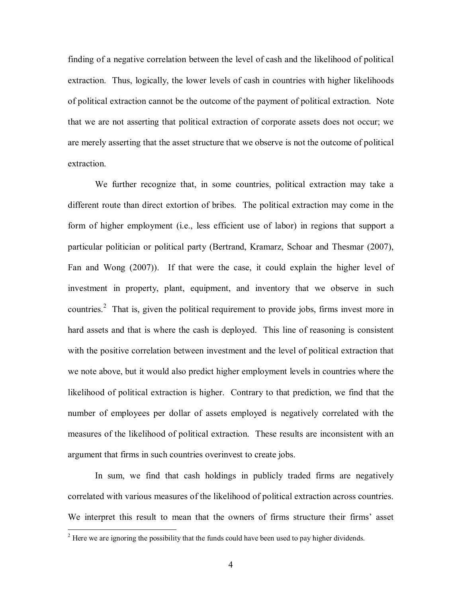finding of a negative correlation between the level of cash and the likelihood of political extraction. Thus, logically, the lower levels of cash in countries with higher likelihoods of political extraction cannot be the outcome of the payment of political extraction. Note that we are not asserting that political extraction of corporate assets does not occur; we are merely asserting that the asset structure that we observe is not the outcome of political extraction.

We further recognize that, in some countries, political extraction may take a different route than direct extortion of bribes. The political extraction may come in the form of higher employment (i.e., less efficient use of labor) in regions that support a particular politician or political party (Bertrand, Kramarz, Schoar and Thesmar (2007), Fan and Wong (2007)). If that were the case, it could explain the higher level of investment in property, plant, equipment, and inventory that we observe in such countries.<sup>2</sup> That is, given the political requirement to provide jobs, firms invest more in hard assets and that is where the cash is deployed. This line of reasoning is consistent with the positive correlation between investment and the level of political extraction that we note above, but it would also predict higher employment levels in countries where the likelihood of political extraction is higher. Contrary to that prediction, we find that the number of employees per dollar of assets employed is negatively correlated with the measures of the likelihood of political extraction. These results are inconsistent with an argument that firms in such countries overinvest to create jobs.

In sum, we find that cash holdings in publicly traded firms are negatively correlated with various measures of the likelihood of political extraction across countries. We interpret this result to mean that the owners of firms structure their firms' asset

<sup>&</sup>lt;sup>2</sup> Here we are ignoring the possibility that the funds could have been used to pay higher dividends.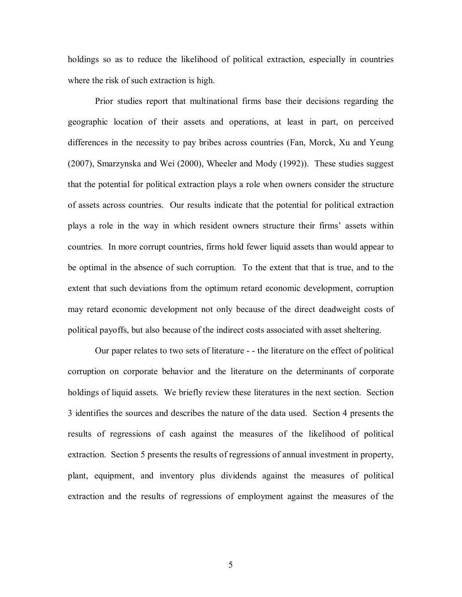holdings so as to reduce the likelihood of political extraction, especially in countries where the risk of such extraction is high.

Prior studies report that multinational firms base their decisions regarding the geographic location of their assets and operations, at least in part, on perceived differences in the necessity to pay bribes across countries (Fan, Morck, Xu and Yeung (2007), Smarzynska and Wei (2000), Wheeler and Mody (1992)). These studies suggest that the potential for political extraction plays a role when owners consider the structure of assets across countries. Our results indicate that the potential for political extraction plays a role in the way in which resident owners structure their firms' assets within countries. In more corrupt countries, firms hold fewer liquid assets than would appear to be optimal in the absence of such corruption. To the extent that that is true, and to the extent that such deviations from the optimum retard economic development, corruption may retard economic development not only because of the direct deadweight costs of political payoffs, but also because of the indirect costs associated with asset sheltering.

Our paper relates to two sets of literature -  $\epsilon$  the literature on the effect of political corruption on corporate behavior and the literature on the determinants of corporate holdings of liquid assets. We briefly review these literatures in the next section. Section 3 identifies the sources and describes the nature of the data used. Section 4 presents the results of regressions of cash against the measures of the likelihood of political extraction. Section 5 presents the results of regressions of annual investment in property, plant, equipment, and inventory plus dividends against the measures of political extraction and the results of regressions of employment against the measures of the

5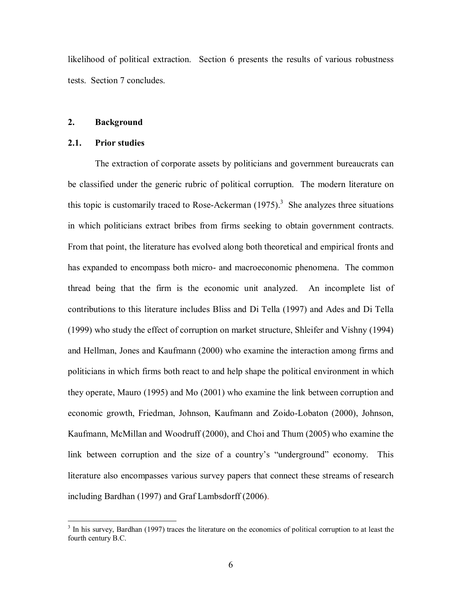likelihood of political extraction. Section 6 presents the results of various robustness tests. Section 7 concludes.

## **2. Background**

#### **2.1. Prior studies**

The extraction of corporate assets by politicians and government bureaucrats can be classified under the generic rubric of political corruption. The modern literature on this topic is customarily traced to Rose-Ackerman  $(1975)^3$ . She analyzes three situations in which politicians extract bribes from firms seeking to obtain government contracts. From that point, the literature has evolved along both theoretical and empirical fronts and has expanded to encompass both micro- and macroeconomic phenomena. The common thread being that the firm is the economic unit analyzed. An incomplete list of contributions to this literature includes Bliss and Di Tella (1997) and Ades and Di Tella (1999) who study the effect of corruption on market structure, Shleifer and Vishny (1994) and Hellman, Jones and Kaufmann (2000) who examine the interaction among firms and politicians in which firms both react to and help shape the political environment in which they operate, Mauro (1995) and Mo (2001) who examine the link between corruption and economic growth, Friedman, Johnson, Kaufmann and Zoido-Lobaton (2000), Johnson, Kaufmann, McMillan and Woodruff (2000), and Choi and Thum (2005) who examine the link between corruption and the size of a country's "underground" economy. This literature also encompasses various survey papers that connect these streams of research including Bardhan (1997) and Graf Lambsdorff (2006).

<sup>&</sup>lt;sup>3</sup> In his survey, Bardhan (1997) traces the literature on the economics of political corruption to at least the fourth century B.C.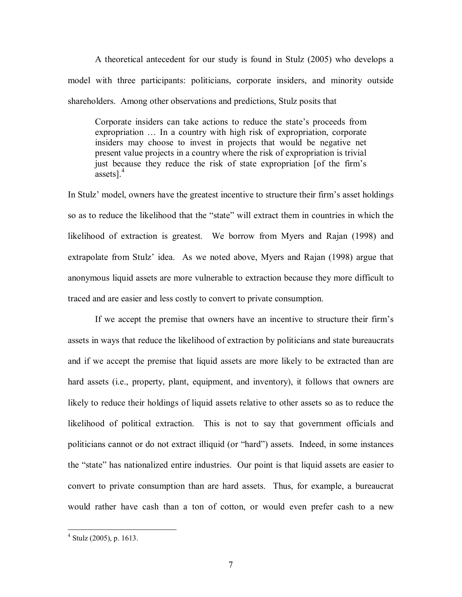A theoretical antecedent for our study is found in Stulz (2005) who develops a model with three participants: politicians, corporate insiders, and minority outside shareholders. Among other observations and predictions, Stulz posits that

Corporate insiders can take actions to reduce the state's proceeds from expropriation ... In a country with high risk of expropriation, corporate insiders may choose to invest in projects that would be negative net present value projects in a country where the risk of expropriation is trivial just because they reduce the risk of state expropriation [of the firm's assets]. $4$ 

In Stulz' model, owners have the greatest incentive to structure their firm's asset holdings so as to reduce the likelihood that the "state" will extract them in countries in which the likelihood of extraction is greatest. We borrow from Myers and Rajan (1998) and extrapolate from Stulz' idea. As we noted above, Myers and Rajan (1998) argue that anonymous liquid assets are more vulnerable to extraction because they more difficult to traced and are easier and less costly to convert to private consumption.

If we accept the premise that owners have an incentive to structure their firm's assets in ways that reduce the likelihood of extraction by politicians and state bureaucrats and if we accept the premise that liquid assets are more likely to be extracted than are hard assets (i.e., property, plant, equipment, and inventory), it follows that owners are likely to reduce their holdings of liquid assets relative to other assets so as to reduce the likelihood of political extraction. This is not to say that government officials and politicians cannot or do not extract illiquid (or "hard") assets. Indeed, in some instances the "state" has nationalized entire industries. Our point is that liquid assets are easier to convert to private consumption than are hard assets. Thus, for example, a bureaucrat would rather have cash than a ton of cotton, or would even prefer cash to a new

 $4$  Stulz (2005), p. 1613.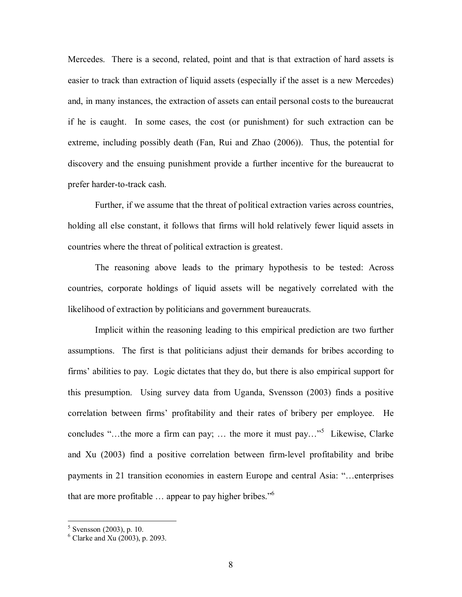Mercedes. There is a second, related, point and that is that extraction of hard assets is easier to track than extraction of liquid assets (especially if the asset is a new Mercedes) and, in many instances, the extraction of assets can entail personal costs to the bureaucrat if he is caught. In some cases, the cost (or punishment) for such extraction can be extreme, including possibly death (Fan, Rui and Zhao (2006)). Thus, the potential for discovery and the ensuing punishment provide a further incentive for the bureaucrat to prefer harder-to-track cash.

Further, if we assume that the threat of political extraction varies across countries, holding all else constant, it follows that firms will hold relatively fewer liquid assets in countries where the threat of political extraction is greatest.

The reasoning above leads to the primary hypothesis to be tested: Across countries, corporate holdings of liquid assets will be negatively correlated with the likelihood of extraction by politicians and government bureaucrats.

Implicit within the reasoning leading to this empirical prediction are two further assumptions. The first is that politicians adjust their demands for bribes according to firms' abilities to pay. Logic dictates that they do, but there is also empirical support for this presumption. Using survey data from Uganda, Svensson (2003) finds a positive correlation between firms' profitability and their rates of bribery per employee. He concludes "...the more a firm can pay; ... the more it must pay..."<sup>5</sup> Likewise, Clarke and Xu (2003) find a positive correlation between firmlevel profitability and bribe payments in 21 transition economies in eastern Europe and central Asia: "…enterprises that are more profitable  $\ldots$  appear to pay higher bribes."<sup>6</sup>

 $5$  Svensson (2003), p. 10.

 $6$  Clarke and Xu (2003), p. 2093.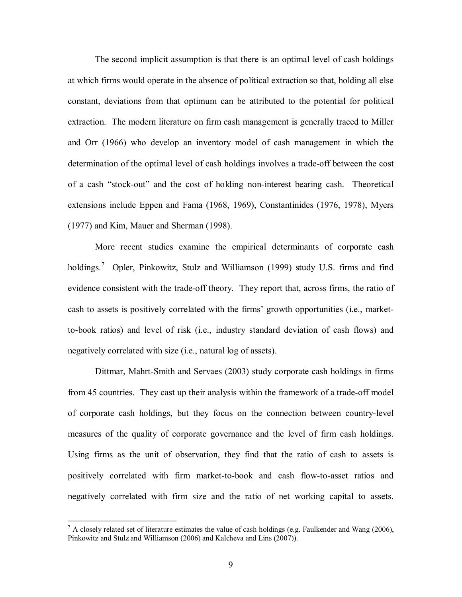The second implicit assumption is that there is an optimal level of cash holdings at which firms would operate in the absence of political extraction so that, holding all else constant, deviations from that optimum can be attributed to the potential for political extraction. The modern literature on firm cash management is generally traced to Miller and Orr (1966) who develop an inventory model of cash management in which the determination of the optimal level of cash holdings involves a trade-off between the cost of a cash "stock-out" and the cost of holding non-interest bearing cash. Theoretical extensions include Eppen and Fama (1968, 1969), Constantinides (1976, 1978), Myers (1977) and Kim, Mauer and Sherman (1998).

More recent studies examine the empirical determinants of corporate cash holdings.<sup>7</sup> Opler, Pinkowitz, Stulz and Williamson (1999) study U.S. firms and find evidence consistent with the trade-off theory. They report that, across firms, the ratio of cash to assets is positively correlated with the firms' growth opportunities (i.e., marketto-book ratios) and level of risk (i.e., industry standard deviation of cash flows) and negatively correlated with size (i.e., natural log of assets).

Dittmar, Mahrt-Smith and Servaes (2003) study corporate cash holdings in firms from 45 countries. They cast up their analysis within the framework of a trade-off model of corporate cash holdings, but they focus on the connection between countrylevel measures of the quality of corporate governance and the level of firm cash holdings. Using firms as the unit of observation, they find that the ratio of cash to assets is positively correlated with firm market-to-book and cash flow-to-asset ratios and negatively correlated with firm size and the ratio of net working capital to assets.

 $^7$  A closely related set of literature estimates the value of cash holdings (e.g. Faulkender and Wang (2006), Pinkowitz and Stulz and Williamson (2006) and Kalcheva and Lins (2007)).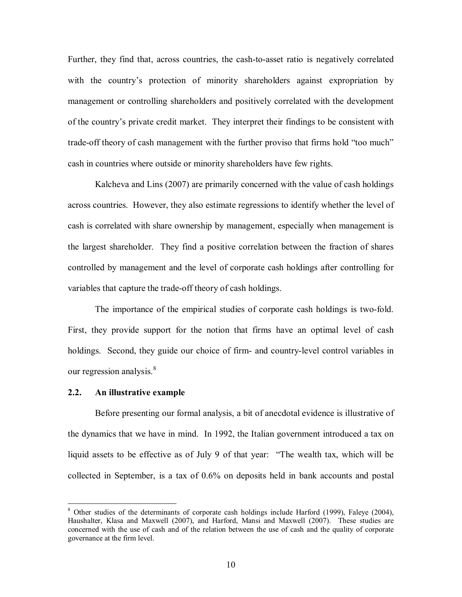Further, they find that, across countries, the cash-to-asset ratio is negatively correlated with the country's protection of minority shareholders against expropriation by management or controlling shareholders and positively correlated with the development of the country's private credit market. They interpret their findings to be consistent with trade-off theory of cash management with the further proviso that firms hold "too much" cash in countries where outside or minority shareholders have few rights.

Kalcheva and Lins (2007) are primarily concerned with the value of cash holdings across countries. However, they also estimate regressions to identify whether the level of cash is correlated with share ownership by management, especially when management is the largest shareholder. They find a positive correlation between the fraction of shares controlled by management and the level of corporate cash holdings after controlling for variables that capture the trade-off theory of cash holdings.

The importance of the empirical studies of corporate cash holdings is two-fold. First, they provide support for the notion that firms have an optimal level of cash holdings. Second, they guide our choice of firm- and country-level control variables in our regression analysis.<sup>8</sup>

#### **2.2. An illustrative example**

Before presenting our formal analysis, a bit of anecdotal evidence is illustrative of the dynamics that we have in mind. In 1992, the Italian government introduced a tax on liquid assets to be effective as of July 9 of that year: "The wealth tax, which will be collected in September, is a tax of 0.6% on deposits held in bank accounts and postal

<sup>&</sup>lt;sup>8</sup> Other studies of the determinants of corporate cash holdings include Harford (1999), Faleye (2004), Haushalter, Klasa and Maxwell (2007), and Harford, Mansi and Maxwell (2007). These studies are concerned with the use of cash and of the relation between the use of cash and the quality of corporate governance at the firm level.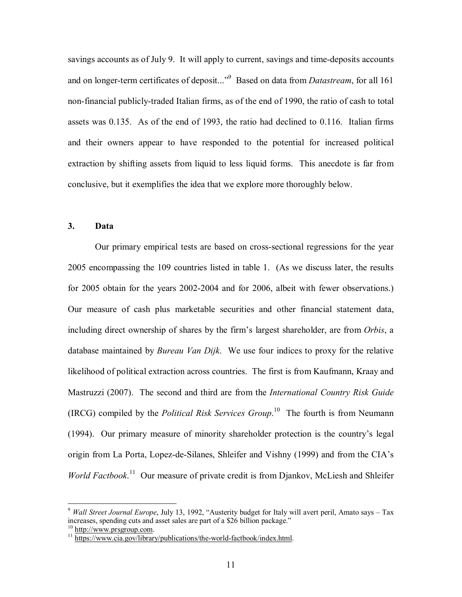sayings accounts as of July 9. It will apply to current, sayings and time-deposits accounts and on longer-term certificates of deposit..."<sup>9</sup> Based on data from *Datastream*, for all 161 non-financial publicly-traded Italian firms, as of the end of 1990, the ratio of cash to total assets was 0.135. As of the end of 1993, the ratio had declined to 0.116. Italian firms and their owners appear to have responded to the potential for increased political extraction by shifting assets from liquid to less liquid forms. This anecdote is far from conclusive, but it exemplifies the idea that we explore more thoroughly below.

## **3. Data**

Our primary empirical tests are based on crosssectional regressions for the year 2005 encompassing the 109 countries listed in table 1. (As we discuss later, the results for 2005 obtain for the years 2002-2004 and for 2006, albeit with fewer observations.) Our measure of cash plus marketable securities and other financial statement data, including direct ownership of shares by the firm's largest shareholder, are from *Orbis*, a database maintained by *Bureau Van Dijk*. We use four indices to proxy for the relative likelihood of political extraction across countries. The first is from Kaufmann, Kraay and Mastruzzi (2007). The second and third are from the *International Country Risk Guide* (IRCG) compiled by the *Political Risk Services Group*.<sup>10</sup> The fourth is from Neumann (1994). Our primary measure of minority shareholder protection is the country's legal origin from La Porta, Lopez-de-Silanes, Shleifer and Vishny (1999) and from the CIA's *World Factbook*.<sup>11</sup> Our measure of private credit is from Djankov, McLiesh and Shleifer

<sup>9</sup> *Wall Street Journal Europe*, July 13, 1992, "Austerity budget for Italy will avert peril, Amato says – Tax increases, spending cuts and asset sales are part of a \$26 billion package."<br><sup>10</sup> http://www.prsgroup.com.

<sup>&</sup>lt;sup>11</sup> https://www.cia.gov/library/publications/the-world-factbook/index.html.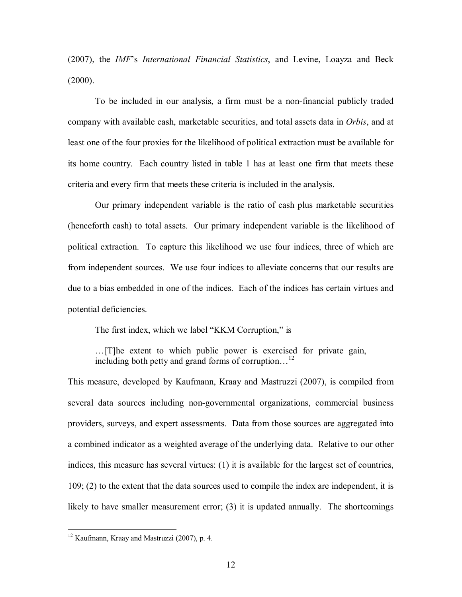(2007), the *IMF*'s *International Financial Statistics*, and Levine, Loayza and Beck  $(2000)$ .

To be included in our analysis, a firm must be a non-financial publicly traded company with available cash, marketable securities, and total assets data in *Orbis*, and at least one of the four proxies for the likelihood of political extraction must be available for its home country. Each country listed in table 1 has at least one firm that meets these criteria and every firm that meets these criteria is included in the analysis.

Our primary independent variable is the ratio of cash plus marketable securities (henceforth cash) to total assets. Our primary independent variable is the likelihood of political extraction. To capture this likelihood we use four indices, three of which are from independent sources. We use four indices to alleviate concerns that our results are due to a bias embedded in one of the indices. Each of the indices has certain virtues and potential deficiencies.

The first index, which we label "KKM Corruption," is

…[T]he extent to which public power is exercised for private gain, including both petty and grand forms of corruption...<sup>1</sup>

This measure, developed by Kaufmann, Kraay and Mastruzzi (2007), is compiled from several data sources including non-governmental organizations, commercial business providers, surveys, and expert assessments. Data from those sources are aggregated into a combined indicator as a weighted average of the underlying data. Relative to our other indices, this measure has several virtues: (1) it is available for the largest set of countries, 109; (2) to the extent that the data sources used to compile the index are independent, it is likely to have smaller measurement error; (3) it is updated annually. The shortcomings

<sup>&</sup>lt;sup>12</sup> Kaufmann, Kraay and Mastruzzi (2007), p. 4.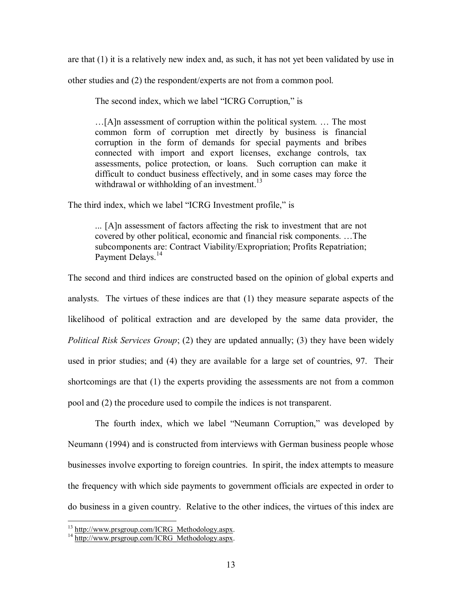are that (1) it is a relatively new index and, as such, it has not yet been validated by use in

other studies and (2) the respondent/experts are not from a common pool.

The second index, which we label "ICRG Corruption," is

…[A]n assessment of corruption within the political system. … The most common form of corruption met directly by business is financial corruption in the form of demands for special payments and bribes connected with import and export licenses, exchange controls, tax assessments, police protection, or loans. Such corruption can make it difficult to conduct business effectively, and in some cases may force the withdrawal or withholding of an investment.<sup>13</sup>

The third index, which we label "ICRG Investment profile," is

... [A]n assessment of factors affecting the risk to investment that are not covered by other political, economic and financial risk components. …The subcomponents are: Contract Viability/Expropriation; Profits Repatriation; Payment Delays.<sup>14</sup>

The second and third indices are constructed based on the opinion of global experts and analysts. The virtues of these indices are that (1) they measure separate aspects of the likelihood of political extraction and are developed by the same data provider, the *Political Risk Services Group*; (2) they are updated annually; (3) they have been widely used in prior studies; and (4) they are available for a large set of countries, 97. Their shortcomings are that (1) the experts providing the assessments are not from a common pool and (2) the procedure used to compile the indices is not transparent.

The fourth index, which we label "Neumann Corruption," was developed by Neumann (1994) and is constructed from interviews with German business people whose businesses involve exporting to foreign countries. In spirit, the index attempts to measure the frequency with which side payments to government officials are expected in order to do business in a given country. Relative to the other indices, the virtues of this index are

 $13 \frac{\text{http://www.prsgroup.com/ICRG_Methodology.aspx.}}{14 \frac{\text{http://www.prsgroup.com/ICRG_Methodology.aspx.}}{14}}$  $13 \frac{\text{http://www.prsgroup.com/ICRG_Methodology.aspx.}}{14 \frac{\text{http://www.prsgroup.com/ICRG_Methodology.aspx.}}{14}}$  $13 \frac{\text{http://www.prsgroup.com/ICRG_Methodology.aspx.}}{14 \frac{\text{http://www.prsgroup.com/ICRG_Methodology.aspx.}}{14}}$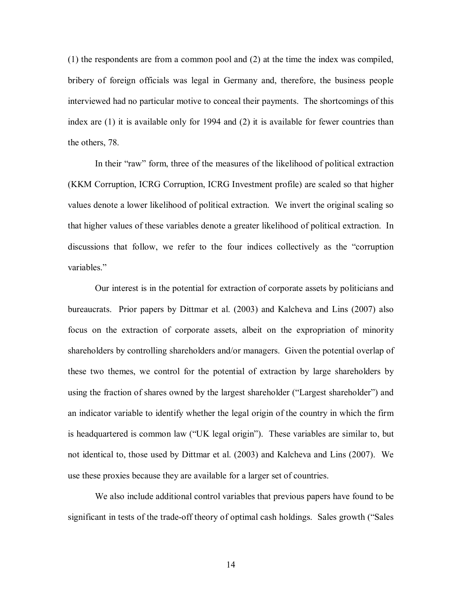(1) the respondents are from a common pool and (2) at the time the index was compiled, bribery of foreign officials was legal in Germany and, therefore, the business people interviewed had no particular motive to conceal their payments. The shortcomings of this index are (1) it is available only for 1994 and (2) it is available for fewer countries than the others, 78.

In their "raw" form, three of the measures of the likelihood of political extraction (KKM Corruption, ICRG Corruption, ICRG Investment profile) are scaled so that higher values denote a lower likelihood of political extraction. We invert the original scaling so that higher values of these variables denote a greater likelihood of political extraction. In discussions that follow, we refer to the four indices collectively as the "corruption variables."

Our interest is in the potential for extraction of corporate assets by politicians and bureaucrats. Prior papers by Dittmar et al. (2003) and Kalcheva and Lins (2007) also focus on the extraction of corporate assets, albeit on the expropriation of minority shareholders by controlling shareholders and/or managers. Given the potential overlap of these two themes, we control for the potential of extraction by large shareholders by using the fraction of shares owned by the largest shareholder ("Largest shareholder") and an indicator variable to identify whether the legal origin of the country in which the firm is headquartered is common law ("UK legal origin"). These variables are similar to, but not identical to, those used by Dittmar et al. (2003) and Kalcheva and Lins (2007). We use these proxies because they are available for a larger set of countries.

We also include additional control variables that previous papers have found to be significant in tests of the trade-off theory of optimal cash holdings. Sales growth ("Sales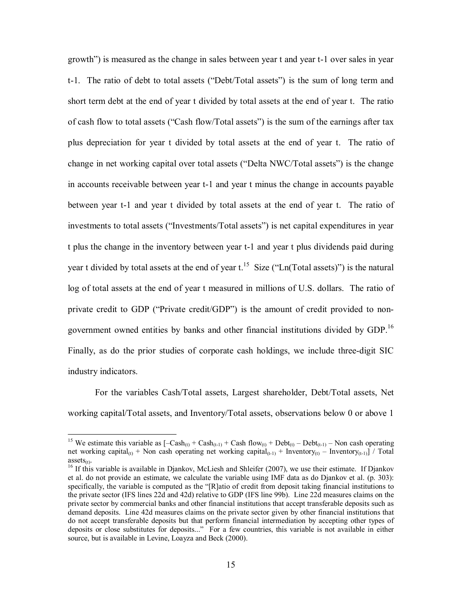growth") is measured as the change in sales between year t and year t-1 over sales in year t1. The ratio of debt to total assets ("Debt/Total assets") is the sum of long term and short term debt at the end of year t divided by total assets at the end of year t. The ratio of cash flow to total assets ("Cash flow/Total assets") is the sum of the earnings after tax plus depreciation for year t divided by total assets at the end of year t. The ratio of change in net working capital over total assets ("Delta NWC/Total assets") is the change in accounts receivable between year t-1 and year t minus the change in accounts payable between year t-1 and year t divided by total assets at the end of year t. The ratio of investments to total assets ("Investments/Total assets") is net capital expenditures in year t plus the change in the inventory between year t-1 and year t plus dividends paid during year t divided by total assets at the end of year  $t^{15}$ . Size ("Ln(Total assets)") is the natural log of total assets at the end of year t measured in millions of U.S. dollars. The ratio of private credit to GDP ("Private credit/GDP") is the amount of credit provided to nongovernment owned entities by banks and other financial institutions divided by GDP.<sup>16</sup> Finally, as do the prior studies of corporate cash holdings, we include three-digit SIC industry indicators.

For the variables Cash/Total assets, Largest shareholder, Debt/Total assets, Net working capital/Total assets, and Inventory/Total assets, observations below 0 or above 1

<sup>&</sup>lt;sup>15</sup> We estimate this variable as  $[-\text{Cash}_{(t)} + \text{Cash}_{(t-1)} + \text{Cash flow}_{(t)} + \text{Debt}_{(t)} - \text{Debt}_{(t-1)} - \text{Non cash operating}$ net working capital<sub>(t)</sub> + Non cash operating net working capital<sub>(t-1)</sub> + Inventory<sub>(t)</sub> – Inventory<sub>(t-1)</sub>] / Total assets<sub>(t)</sub>.

<sup>&</sup>lt;sup>16</sup> If this variable is available in Djankov, McLiesh and Shleifer (2007), we use their estimate. If Djankov et al. do not provide an estimate, we calculate the variable using IMF data as do Djankov et al. (p. 303): specifically, the variable is computed as the "[R]atio of credit from deposit taking financial institutions to the private sector (IFS lines 22d and 42d) relative to GDP (IFS line 99b). Line 22d measures claims on the private sector by commercial banks and other financial institutions that accept transferable deposits such as demand deposits. Line 42d measures claims on the private sector given by other financial institutions that do not accept transferable deposits but that perform financial intermediation by accepting other types of deposits or close substitutes for deposits..." For a few countries, this variable is not available in either source, but is available in Levine, Loayza and Beck (2000).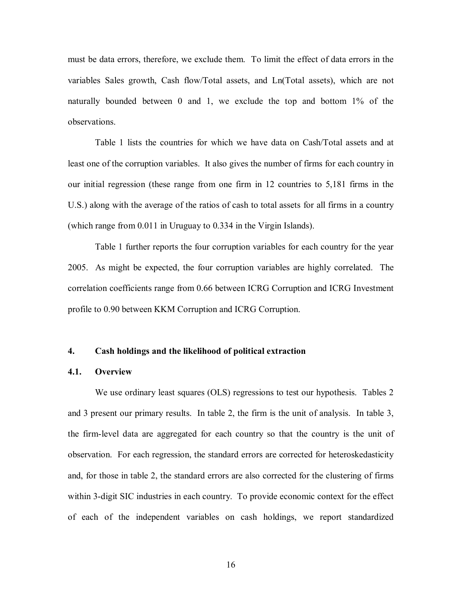must be data errors, therefore, we exclude them. To limit the effect of data errors in the variables Sales growth, Cash flow/Total assets, and Ln(Total assets), which are not naturally bounded between  $0$  and  $1$ , we exclude the top and bottom  $1\%$  of the observations.

Table 1 lists the countries for which we have data on Cash/Total assets and at least one of the corruption variables. It also gives the number of firms for each country in our initial regression (these range from one firm in 12 countries to 5,181 firms in the U.S.) along with the average of the ratios of cash to total assets for all firms in a country (which range from 0.011 in Uruguay to 0.334 in the Virgin Islands).

Table 1 further reports the four corruption variables for each country for the year 2005. As might be expected, the four corruption variables are highly correlated. The correlation coefficients range from 0.66 between ICRG Corruption and ICRG Investment profile to 0.90 between KKM Corruption and ICRG Corruption.

#### **4. Cash holdings and the likelihood of political extraction**

#### **4.1. Overview**

We use ordinary least squares (OLS) regressions to test our hypothesis. Tables 2 and 3 present our primary results. In table 2, the firm is the unit of analysis. In table 3, the firm-level data are aggregated for each country so that the country is the unit of observation. For each regression, the standard errors are corrected for heteroskedasticity and, for those in table 2, the standard errors are also corrected for the clustering of firms within 3-digit SIC industries in each country. To provide economic context for the effect of each of the independent variables on cash holdings, we report standardized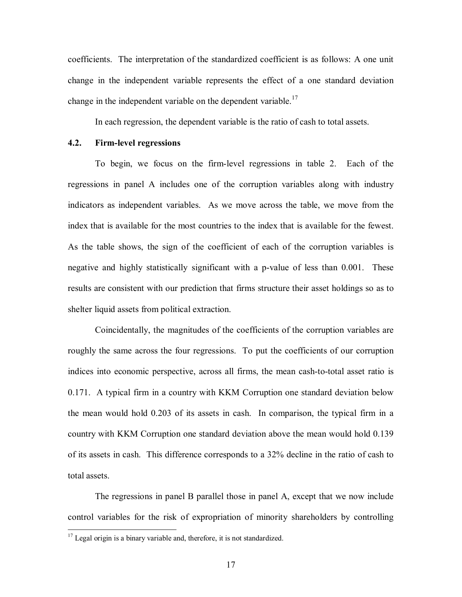coefficients. The interpretation of the standardized coefficient is as follows: A one unit change in the independent variable represents the effect of a one standard deviation change in the independent variable on the dependent variable.<sup>17</sup>

In each regression, the dependent variable is the ratio of cash to total assets.

## **4.2. Firmlevel regressions**

To begin, we focus on the firm-level regressions in table 2. Each of the regressions in panel A includes one of the corruption variables along with industry indicators as independent variables. As we move across the table, we move from the index that is available for the most countries to the index that is available for the fewest. As the table shows, the sign of the coefficient of each of the corruption variables is negative and highly statistically significant with a p-value of less than 0.001. These results are consistent with our prediction that firms structure their asset holdings so as to shelter liquid assets from political extraction.

Coincidentally, the magnitudes of the coefficients of the corruption variables are roughly the same across the four regressions. To put the coefficients of our corruption indices into economic perspective, across all firms, the mean cash-to-total asset ratio is 0.171. A typical firm in a country with KKM Corruption one standard deviation below the mean would hold 0.203 of its assets in cash. In comparison, the typical firm in a country with KKM Corruption one standard deviation above the mean would hold 0.139 of its assets in cash. This difference corresponds to a 32% decline in the ratio of cash to total assets.

The regressions in panel B parallel those in panel A, except that we now include control variables for the risk of expropriation of minority shareholders by controlling

<sup>&</sup>lt;sup>17</sup> Legal origin is a binary variable and, therefore, it is not standardized.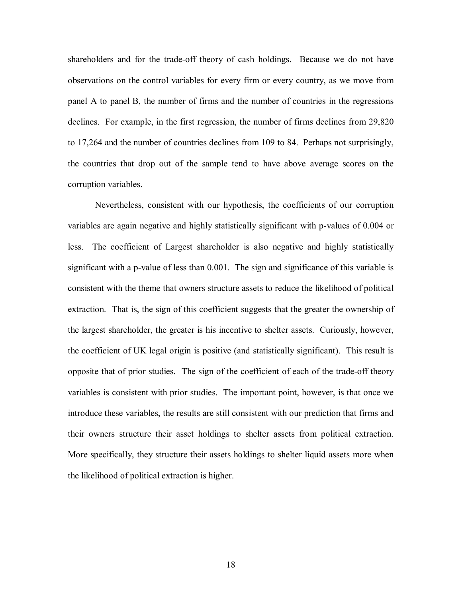shareholders and for the trade-off theory of cash holdings. Because we do not have observations on the control variables for every firm or every country, as we move from panel A to panel B, the number of firms and the number of countries in the regressions declines. For example, in the first regression, the number of firms declines from 29,820 to 17,264 and the number of countries declines from 109 to 84. Perhaps not surprisingly, the countries that drop out of the sample tend to have above average scores on the corruption variables.

Nevertheless, consistent with our hypothesis, the coefficients of our corruption variables are again negative and highly statistically significant with p-values of  $0.004$  or less. The coefficient of Largest shareholder is also negative and highly statistically significant with a p-value of less than  $0.001$ . The sign and significance of this variable is consistent with the theme that owners structure assets to reduce the likelihood of political extraction. That is, the sign of this coefficient suggests that the greater the ownership of the largest shareholder, the greater is his incentive to shelter assets. Curiously, however, the coefficient of UK legal origin is positive (and statistically significant). This result is opposite that of prior studies. The sign of the coefficient of each of the trade-off theory variables is consistent with prior studies. The important point, however, is that once we introduce these variables, the results are still consistent with our prediction that firms and their owners structure their asset holdings to shelter assets from political extraction. More specifically, they structure their assets holdings to shelter liquid assets more when the likelihood of political extraction is higher.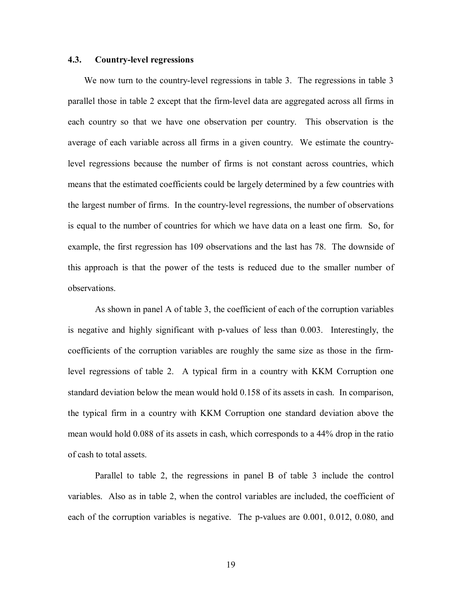#### **4.3. Countrylevel regressions**

We now turn to the country-level regressions in table 3. The regressions in table 3 parallel those in table 2 except that the firmlevel data are aggregated across all firms in each country so that we have one observation per country. This observation is the average of each variable across all firms in a given country. We estimate the countrylevel regressions because the number of firms is not constant across countries, which means that the estimated coefficients could be largely determined by a few countries with the largest number of firms. In the countrylevel regressions, the number of observations is equal to the number of countries for which we have data on a least one firm. So, for example, the first regression has 109 observations and the last has 78. The downside of this approach is that the power of the tests is reduced due to the smaller number of observations.

As shown in panel A of table 3, the coefficient of each of the corruption variables is negative and highly significant with p-values of less than 0.003. Interestingly, the coefficients of the corruption variables are roughly the same size as those in the firmlevel regressions of table 2. A typical firm in a country with KKM Corruption one standard deviation below the mean would hold 0.158 of its assets in cash. In comparison, the typical firm in a country with KKM Corruption one standard deviation above the mean would hold 0.088 of its assets in cash, which corresponds to a 44% drop in the ratio of cash to total assets.

Parallel to table 2, the regressions in panel B of table 3 include the control variables. Also as in table 2, when the control variables are included, the coefficient of each of the corruption variables is negative. The  $p$ -values are  $0.001$ ,  $0.012$ ,  $0.080$ , and

19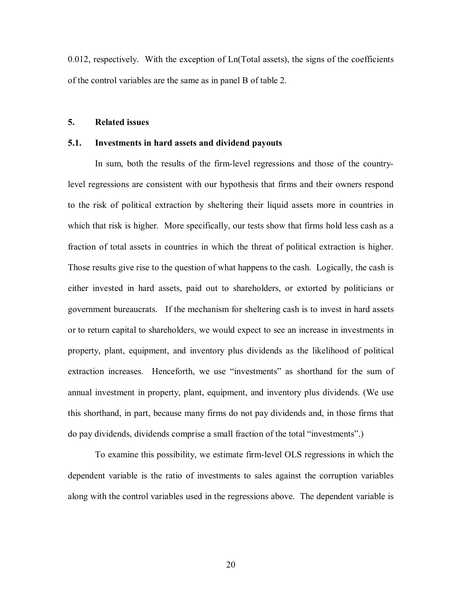0.012, respectively. With the exception of Ln(Total assets), the signs of the coefficients of the control variables are the same as in panel B of table 2.

## **5. Related issues**

## **5.1. Investments in hard assets and dividend payouts**

In sum, both the results of the firm-level regressions and those of the countrylevel regressions are consistent with our hypothesis that firms and their owners respond to the risk of political extraction by sheltering their liquid assets more in countries in which that risk is higher. More specifically, our tests show that firms hold less cash as a fraction of total assets in countries in which the threat of political extraction is higher. Those results give rise to the question of what happens to the cash. Logically, the cash is either invested in hard assets, paid out to shareholders, or extorted by politicians or government bureaucrats. If the mechanism for sheltering cash is to invest in hard assets or to return capital to shareholders, we would expect to see an increase in investments in property, plant, equipment, and inventory plus dividends as the likelihood of political extraction increases. Henceforth, we use "investments" as shorthand for the sum of annual investment in property, plant, equipment, and inventory plus dividends. (We use this shorthand, in part, because many firms do not pay dividends and, in those firms that do pay dividends, dividends comprise a small fraction of the total "investments".)

To examine this possibility, we estimate firmlevel OLS regressions in which the dependent variable is the ratio of investments to sales against the corruption variables along with the control variables used in the regressions above. The dependent variable is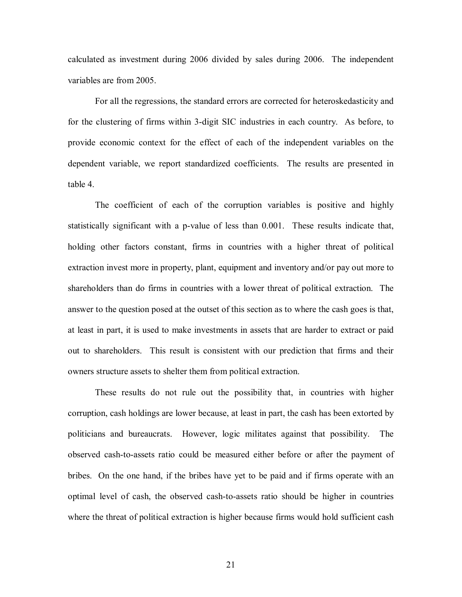calculated as investment during 2006 divided by sales during 2006. The independent variables are from 2005.

For all the regressions, the standard errors are corrected for heteroskedasticity and for the clustering of firms within 3-digit SIC industries in each country. As before, to provide economic context for the effect of each of the independent variables on the dependent variable, we report standardized coefficients. The results are presented in table 4.

The coefficient of each of the corruption variables is positive and highly statistically significant with a  $p$ -value of less than  $0.001$ . These results indicate that, holding other factors constant, firms in countries with a higher threat of political extraction invest more in property, plant, equipment and inventory and/or pay out more to shareholders than do firms in countries with a lower threat of political extraction. The answer to the question posed at the outset of this section as to where the cash goes is that, at least in part, it is used to make investments in assets that are harder to extract or paid out to shareholders. This result is consistent with our prediction that firms and their owners structure assets to shelter them from political extraction.

These results do not rule out the possibility that, in countries with higher corruption, cash holdings are lower because, at least in part, the cash has been extorted by politicians and bureaucrats. However, logic militates against that possibility. The observed cash-to-assets ratio could be measured either before or after the payment of bribes. On the one hand, if the bribes have yet to be paid and if firms operate with an optimal level of cash, the observed cash-to-assets ratio should be higher in countries where the threat of political extraction is higher because firms would hold sufficient cash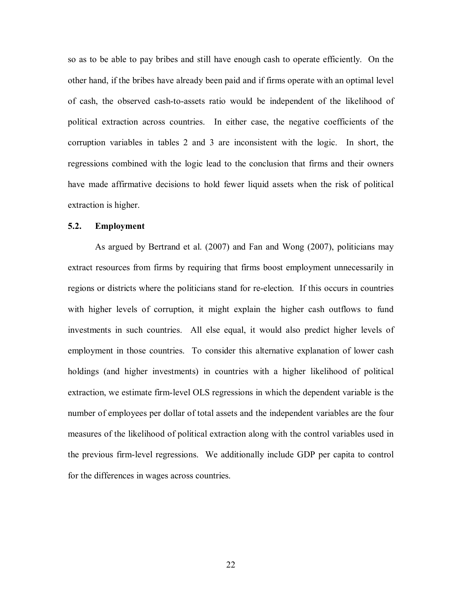so as to be able to pay bribes and still have enough cash to operate efficiently. On the other hand, if the bribes have already been paid and if firms operate with an optimal level of cash, the observed cash-to-assets ratio would be independent of the likelihood of political extraction across countries. In either case, the negative coefficients of the corruption variables in tables 2 and 3 are inconsistent with the logic. In short, the regressions combined with the logic lead to the conclusion that firms and their owners have made affirmative decisions to hold fewer liquid assets when the risk of political extraction is higher.

#### **5.2. Employment**

As argued by Bertrand et al. (2007) and Fan and Wong (2007), politicians may extract resources from firms by requiring that firms boost employment unnecessarily in regions or districts where the politicians stand for reelection. If this occurs in countries with higher levels of corruption, it might explain the higher cash outflows to fund investments in such countries. All else equal, it would also predict higher levels of employment in those countries. To consider this alternative explanation of lower cash holdings (and higher investments) in countries with a higher likelihood of political extraction, we estimate firm-level OLS regressions in which the dependent variable is the number of employees per dollar of total assets and the independent variables are the four measures of the likelihood of political extraction along with the control variables used in the previous firm-level regressions. We additionally include GDP per capita to control for the differences in wages across countries.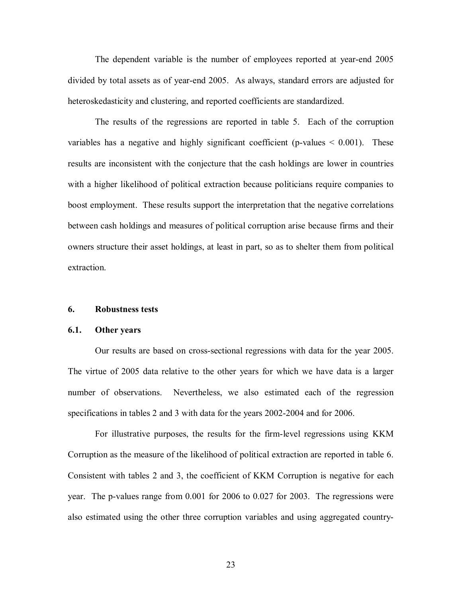The dependent variable is the number of employees reported at year-end 2005 divided by total assets as of year-end 2005. As always, standard errors are adjusted for heteroskedasticity and clustering, and reported coefficients are standardized.

The results of the regressions are reported in table 5. Each of the corruption variables has a negative and highly significant coefficient (p-values  $\leq 0.001$ ). These results are inconsistent with the conjecture that the cash holdings are lower in countries with a higher likelihood of political extraction because politicians require companies to boost employment. These results support the interpretation that the negative correlations between cash holdings and measures of political corruption arise because firms and their owners structure their asset holdings, at least in part, so as to shelter them from political extraction.

#### **6. Robustness tests**

#### **6.1. Other years**

Our results are based on crosssectional regressions with data for the year 2005. The virtue of 2005 data relative to the other years for which we have data is a larger number of observations. Nevertheless, we also estimated each of the regression specifications in tables 2 and 3 with data for the years 2002-2004 and for 2006.

For illustrative purposes, the results for the firm-level regressions using KKM Corruption as the measure of the likelihood of political extraction are reported in table 6. Consistent with tables 2 and 3, the coefficient of KKM Corruption is negative for each year. The pvalues range from 0.001 for 2006 to 0.027 for 2003. The regressions were also estimated using the other three corruption variables and using aggregated country

23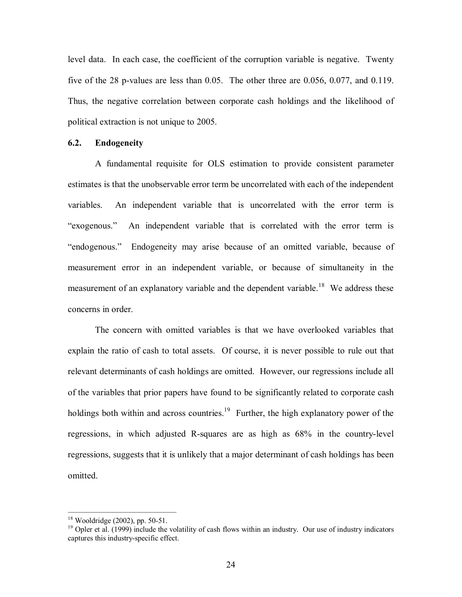level data. In each case, the coefficient of the corruption variable is negative. Twenty five of the 28 p-values are less than  $0.05$ . The other three are  $0.056$ ,  $0.077$ , and  $0.119$ . Thus, the negative correlation between corporate cash holdings and the likelihood of political extraction is not unique to 2005.

#### **6.2. Endogeneity**

A fundamental requisite for OLS estimation to provide consistent parameter estimates is that the unobservable error term be uncorrelated with each of the independent variables. An independent variable that is uncorrelated with the error term is "exogenous." An independent variable that is correlated with the error term is "endogenous." Endogeneity may arise because of an omitted variable, because of measurement error in an independent variable, or because of simultaneity in the measurement of an explanatory variable and the dependent variable.<sup>18</sup> We address these concerns in order.

The concern with omitted variables is that we have overlooked variables that explain the ratio of cash to total assets. Of course, it is never possible to rule out that relevant determinants of cash holdings are omitted. However, our regressions include all of the variables that prior papers have found to be significantly related to corporate cash holdings both within and across countries.<sup>19</sup> Further, the high explanatory power of the regressions, in which adjusted R-squares are as high as  $68\%$  in the country-level regressions, suggests that it is unlikely that a major determinant of cash holdings has been omitted.

<sup>&</sup>lt;sup>18</sup> Wooldridge (2002), pp. 50-51.<br><sup>19</sup> Opler et al. (1999) include the volatility of cash flows within an industry. Our use of industry indicators captures this industry-specific effect.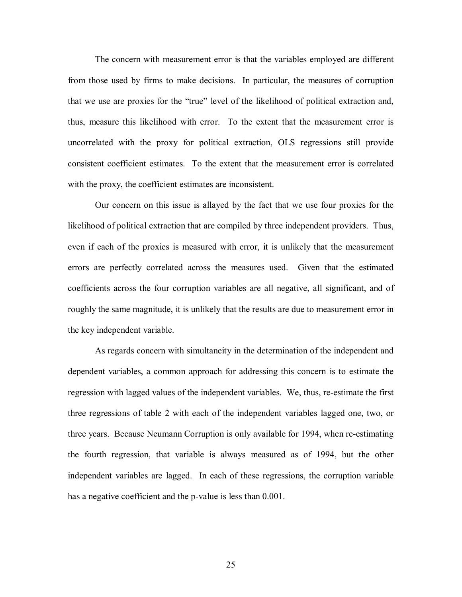The concern with measurement error is that the variables employed are different from those used by firms to make decisions. In particular, the measures of corruption that we use are proxies for the "true" level of the likelihood of political extraction and, thus, measure this likelihood with error. To the extent that the measurement error is uncorrelated with the proxy for political extraction, OLS regressions still provide consistent coefficient estimates. To the extent that the measurement error is correlated with the proxy, the coefficient estimates are inconsistent.

Our concern on this issue is allayed by the fact that we use four proxies for the likelihood of political extraction that are compiled by three independent providers. Thus, even if each of the proxies is measured with error, it is unlikely that the measurement errors are perfectly correlated across the measures used. Given that the estimated coefficients across the four corruption variables are all negative, all significant, and of roughly the same magnitude, it is unlikely that the results are due to measurement error in the key independent variable.

As regards concern with simultaneity in the determination of the independent and dependent variables, a common approach for addressing this concern is to estimate the regression with lagged values of the independent variables. We, thus, re-estimate the first three regressions of table 2 with each of the independent variables lagged one, two, or three years. Because Neumann Corruption is only available for 1994, when reestimating the fourth regression, that variable is always measured as of 1994, but the other independent variables are lagged. In each of these regressions, the corruption variable has a negative coefficient and the p-value is less than 0.001.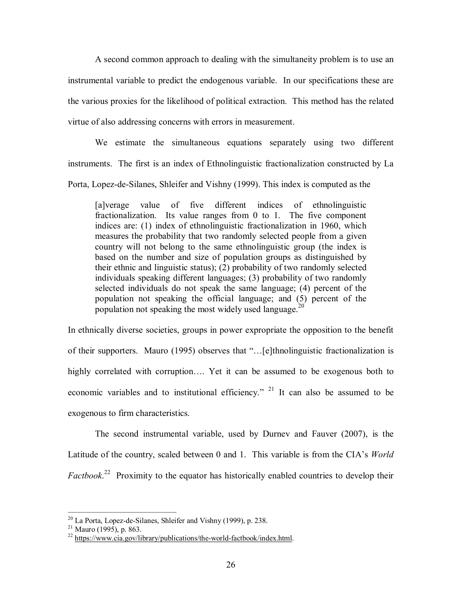A second common approach to dealing with the simultaneity problem is to use an instrumental variable to predict the endogenous variable. In our specifications these are the various proxies for the likelihood of political extraction. This method has the related virtue of also addressing concerns with errors in measurement.

We estimate the simultaneous equations separately using two different instruments. The first is an index of Ethnolinguistic fractionalization constructed by La Porta, Lopez-de-Silanes, Shleifer and Vishny (1999). This index is computed as the

[a]verage value of five different indices of ethnolinguistic fractionalization. Its value ranges from  $0$  to  $1$ . The five component indices are: (1) index of ethnolinguistic fractionalization in 1960, which measures the probability that two randomly selected people from a given country will not belong to the same ethnolinguistic group (the index is based on the number and size of population groups as distinguished by their ethnic and linguistic status); (2) probability of two randomly selected individuals speaking different languages; (3) probability of two randomly selected individuals do not speak the same language; (4) percent of the population not speaking the official language; and (5) percent of the population not speaking the most widely used language.<sup>20</sup>

In ethnically diverse societies, groups in power expropriate the opposition to the benefit of their supporters. Mauro (1995) observes that "…[e]thnolinguistic fractionalization is highly correlated with corruption.... Yet it can be assumed to be exogenous both to economic variables and to institutional efficiency." <sup>21</sup> It can also be assumed to be exogenous to firm characteristics.

The second instrumental variable, used by Durnev and Fauver (2007), is the Latitude of the country, scaled between 0 and 1. This variable is from the CIA's *World Factbook*<sup>22</sup> Proximity to the equator has historically enabled countries to develop their

<sup>&</sup>lt;sup>20</sup> La Porta, Lopez-de-Silanes, Shleifer and Vishny (1999), p. 238.<br><sup>21</sup> Mauro (1995), p. 863.<br><sup>22</sup> https://www.cia.gov/library/publications/the-world-factbook/index.html.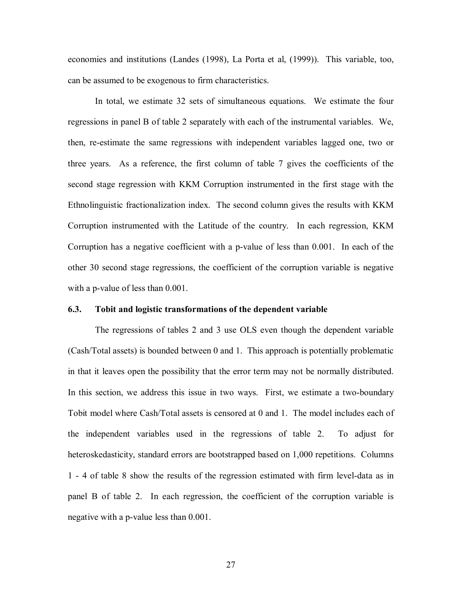economies and institutions (Landes (1998), La Porta et al, (1999)). This variable, too, can be assumed to be exogenous to firm characteristics.

In total, we estimate 32 sets of simultaneous equations. We estimate the four regressions in panel B of table 2 separately with each of the instrumental variables. We, then, reestimate the same regressions with independent variables lagged one, two or three years. As a reference, the first column of table 7 gives the coefficients of the second stage regression with KKM Corruption instrumented in the first stage with the Ethnolinguistic fractionalization index. The second column gives the results with KKM Corruption instrumented with the Latitude of the country. In each regression, KKM Corruption has a negative coefficient with a p-value of less than  $0.001$ . In each of the other 30 second stage regressions, the coefficient of the corruption variable is negative with a p-value of less than  $0.001$ .

#### **6.3. Tobit and logistic transformations of the dependent variable**

The regressions of tables 2 and 3 use OLS even though the dependent variable (Cash/Total assets) is bounded between 0 and 1. This approach is potentially problematic in that it leaves open the possibility that the error term may not be normally distributed. In this section, we address this issue in two ways. First, we estimate a two-boundary Tobit model where Cash/Total assets is censored at 0 and 1. The model includes each of the independent variables used in the regressions of table 2. To adjust for heteroskedasticity, standard errors are bootstrapped based on 1,000 repetitions. Columns 1 4 of table 8 show the results of the regression estimated with firm leveldata as in panel B of table 2. In each regression, the coefficient of the corruption variable is negative with a p-value less than  $0.001$ .

27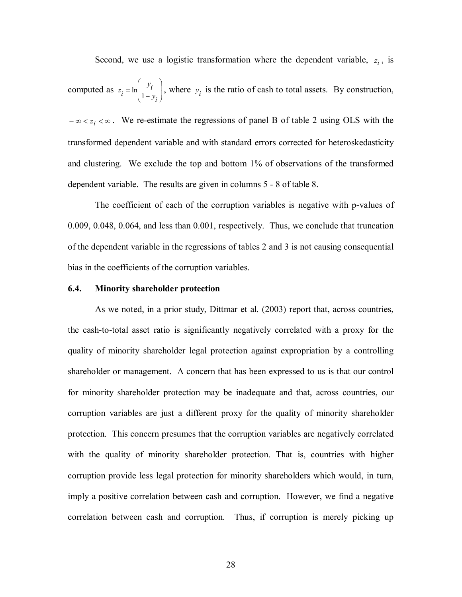Second, we use a logistic transformation where the dependent variable,  $z_i$ , is

computed as  $z_i = \ln \left| \frac{y_i}{1 - y_i} \right|$ , '  $\mathcal{F}$ ˆ  $\vert$  1- $\overline{\phantom{a}}$  $\binom{1}{1}$  $\left( \begin{array}{c} \cdot \end{array} \right)$  $=\ln\left(\frac{\varepsilon_l}{1-y_i}\right)$  $z_i = \ln\left(\frac{y_i}{1 - y_i}\right)$ , where  $y_i$  is the ratio of cash to total assets. By construction,

 $-\infty < z_i < \infty$ . We re-estimate the regressions of panel B of table 2 using OLS with the transformed dependent variable and with standard errors corrected for heteroskedasticity and clustering. We exclude the top and bottom 1% of observations of the transformed dependent variable. The results are given in columns 5 - 8 of table 8.

The coefficient of each of the corruption variables is negative with p-values of 0.009, 0.048, 0.064, and less than 0.001, respectively. Thus, we conclude that truncation of the dependent variable in the regressions of tables 2 and 3 is not causing consequential bias in the coefficients of the corruption variables.

#### **6.4. Minority shareholder protection**

As we noted, in a prior study, Dittmar et al. (2003) report that, across countries, the cashtototal asset ratio is significantly negatively correlated with a proxy for the quality of minority shareholder legal protection against expropriation by a controlling shareholder or management. A concern that has been expressed to us is that our control for minority shareholder protection may be inadequate and that, across countries, our corruption variables are just a different proxy for the quality of minority shareholder protection. This concern presumes that the corruption variables are negatively correlated with the quality of minority shareholder protection. That is, countries with higher corruption provide less legal protection for minority shareholders which would, in turn, imply a positive correlation between cash and corruption. However, we find a negative correlation between cash and corruption. Thus, if corruption is merely picking up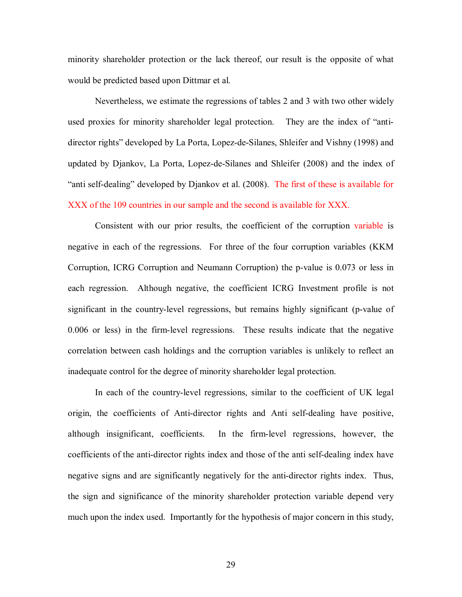minority shareholder protection or the lack thereof, our result is the opposite of what would be predicted based upon Dittmar et al.

Nevertheless, we estimate the regressions of tables 2 and 3 with two other widely used proxies for minority shareholder legal protection. They are the index of "antidirector rights" developed by La Porta, Lopez-de-Silanes, Shleifer and Vishny (1998) and updated by Djankov, La Porta, Lopez-de-Silanes and Shleifer (2008) and the index of "anti self-dealing" developed by Djankov et al.  $(2008)$ . The first of these is available for XXX of the 109 countries in our sample and the second is available for XXX.

Consistent with our prior results, the coefficient of the corruption variable is negative in each of the regressions. For three of the four corruption variables (KKM Corruption, ICRG Corruption and Neumann Corruption) the p-value is 0.073 or less in each regression. Although negative, the coefficient ICRG Investment profile is not significant in the country-level regressions, but remains highly significant (p-value of 0.006 or less) in the firm-level regressions. These results indicate that the negative correlation between cash holdings and the corruption variables is unlikely to reflect an inadequate control for the degree of minority shareholder legal protection.

In each of the country-level regressions, similar to the coefficient of UK legal origin, the coefficients of Anti-director rights and Anti self-dealing have positive, although insignificant, coefficients. In the firm-level regressions, however, the coefficients of the anti-director rights index and those of the anti self-dealing index have negative signs and are significantly negatively for the anti-director rights index. Thus, the sign and significance of the minority shareholder protection variable depend very much upon the index used. Importantly for the hypothesis of major concern in this study,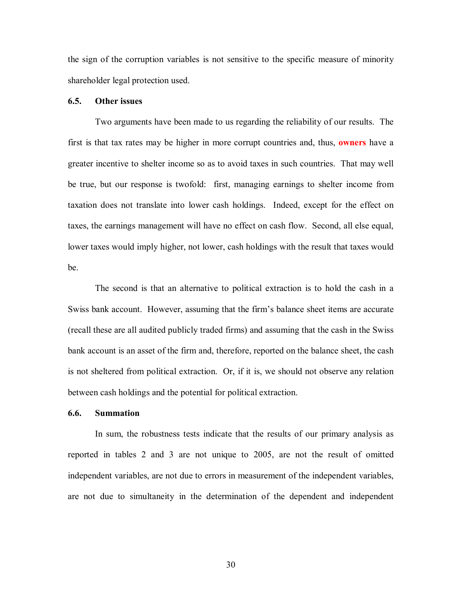the sign of the corruption variables is not sensitive to the specific measure of minority shareholder legal protection used.

## **6.5. Other issues**

Two arguments have been made to us regarding the reliability of our results. The first is that tax rates may be higher in more corrupt countries and, thus, **owners** have a greater incentive to shelter income so as to avoid taxes in such countries. That may well be true, but our response is twofold: first, managing earnings to shelter income from taxation does not translate into lower cash holdings. Indeed, except for the effect on taxes, the earnings management will have no effect on cash flow. Second, all else equal, lower taxes would imply higher, not lower, cash holdings with the result that taxes would be.

The second is that an alternative to political extraction is to hold the cash in a Swiss bank account. However, assuming that the firm's balance sheet items are accurate (recall these are all audited publicly traded firms) and assuming that the cash in the Swiss bank account is an asset of the firm and, therefore, reported on the balance sheet, the cash is not sheltered from political extraction. Or, if it is, we should not observe any relation between cash holdings and the potential for political extraction.

#### **6.6. Summation**

In sum, the robustness tests indicate that the results of our primary analysis as reported in tables 2 and 3 are not unique to 2005, are not the result of omitted independent variables, are not due to errors in measurement of the independent variables, are not due to simultaneity in the determination of the dependent and independent

30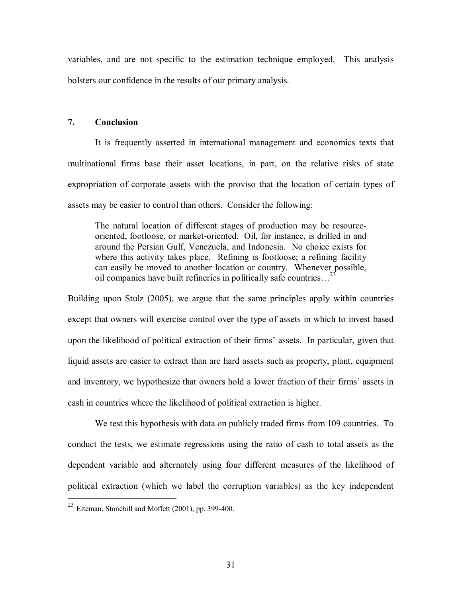variables, and are not specific to the estimation technique employed. This analysis bolsters our confidence in the results of our primary analysis.

## **7. Conclusion**

It is frequently asserted in international management and economics texts that multinational firms base their asset locations, in part, on the relative risks of state expropriation of corporate assets with the proviso that the location of certain types of assets may be easier to control than others. Consider the following:

The natural location of different stages of production may be resource oriented, footloose, or market-oriented. Oil, for instance, is drilled in and around the Persian Gulf, Venezuela, and Indonesia. No choice exists for where this activity takes place. Refining is footloose; a refining facility can easily be moved to another location or country. Whenever possible, oil companies have built refineries in politically safe countries… <sup>23</sup>

Building upon Stulz (2005), we argue that the same principles apply within countries except that owners will exercise control over the type of assets in which to invest based upon the likelihood of political extraction of their firms' assets. In particular, given that liquid assets are easier to extract than are hard assets such as property, plant, equipment and inventory, we hypothesize that owners hold a lower fraction of their firms' assets in cash in countries where the likelihood of political extraction is higher.

We test this hypothesis with data on publicly traded firms from 109 countries. To conduct the tests, we estimate regressions using the ratio of cash to total assets as the dependent variable and alternately using four different measures of the likelihood of political extraction (which we label the corruption variables) as the key independent

 $^{23}$  Eiteman, Stonehill and Moffett (2001), pp. 399-400.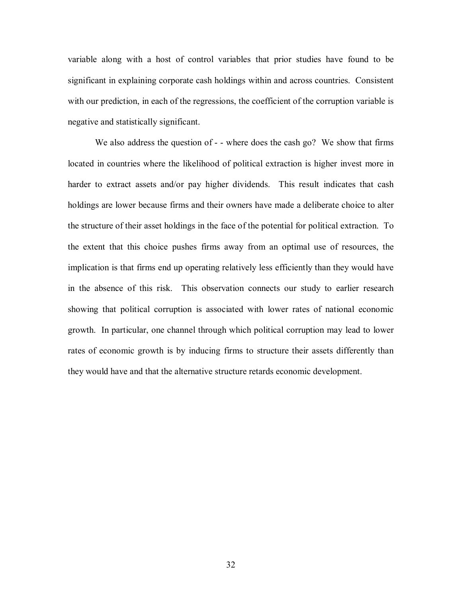variable along with a host of control variables that prior studies have found to be significant in explaining corporate cash holdings within and across countries. Consistent with our prediction, in each of the regressions, the coefficient of the corruption variable is negative and statistically significant.

We also address the question of  $-$  - where does the cash go? We show that firms located in countries where the likelihood of political extraction is higher invest more in harder to extract assets and/or pay higher dividends. This result indicates that cash holdings are lower because firms and their owners have made a deliberate choice to alter the structure of their asset holdings in the face of the potential for political extraction. To the extent that this choice pushes firms away from an optimal use of resources, the implication is that firms end up operating relatively less efficiently than they would have in the absence of this risk. This observation connects our study to earlier research showing that political corruption is associated with lower rates of national economic growth. In particular, one channel through which political corruption may lead to lower rates of economic growth is by inducing firms to structure their assets differently than they would have and that the alternative structure retards economic development.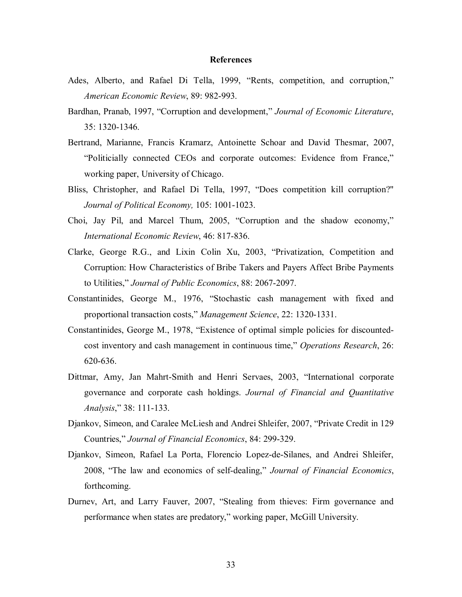#### **References**

- Ades, Alberto, and Rafael Di Tella, 1999, "Rents, competition, and corruption," *American Economic Review*, 89: 982-993.
- Bardhan, Pranab, 1997, "Corruption and development," *Journal of Economic Literature*, 35: 1320-1346.
- Bertrand, Marianne, Francis Kramarz, Antoinette Schoar and David Thesmar, 2007, "Politicially connected CEOs and corporate outcomes: Evidence from France," working paper, University of Chicago.
- Bliss, Christopher, and Rafael Di Tella, 1997, "Does competition kill corruption?" *Journal of Political Economy,* 105: 1001-1023.
- Choi, Jay Pil, and Marcel Thum, 2005, "Corruption and the shadow economy," *International Economic Review*, 46: 817-836.
- Clarke, George R.G., and Lixin Colin Xu, 2003, "Privatization, Competition and Corruption: How Characteristics of Bribe Takers and Payers Affect Bribe Payments to Utilities," *Journal of Public Economics*, 88: 2067-2097.
- Constantinides, George M., 1976, "Stochastic cash management with fixed and proportional transaction costs," Management Science, 22: 1320-1331.
- Constantinides, George M., 1978, "Existence of optimal simple policies for discounted cost inventory and cash management in continuous time," *Operations Research*, 26: 620-636.
- Dittmar, Amy, Jan Mahrt-Smith and Henri Servaes, 2003, "International corporate governance and corporate cash holdings. *Journal of Financial and Quantitative Analysis*," 38: 111-133.
- Djankov, Simeon, and Caralee McLiesh and Andrei Shleifer, 2007, "Private Credit in 129 Countries," *Journal of Financial Economics*, 84: 299-329.
- Djankov, Simeon, Rafael La Porta, Florencio Lopez-de-Silanes, and Andrei Shleifer, 2008, "The law and economics of self-dealing," *Journal of Financial Economics*, forthcoming.
- Durnev, Art, and Larry Fauver, 2007, "Stealing from thieves: Firm governance and performance when states are predatory," working paper, McGill University.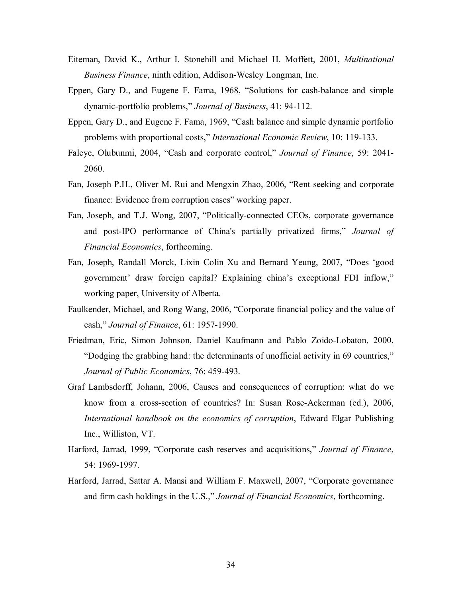- Eiteman, David K., Arthur I. Stonehill and Michael H. Moffett, 2001, *Multinational Business Finance*, ninth edition, Addison-Wesley Longman, Inc.
- Eppen, Gary D., and Eugene F. Fama, 1968, "Solutions for cash-balance and simple dynamic-portfolio problems," *Journal of Business*, 41: 94-112.
- Eppen, Gary D., and Eugene F. Fama, 1969, "Cash balance and simple dynamic portfolio problems with proportional costs," *International Economic Review*, 10: 119133.
- Faleye, Olubunmi, 2004, "Cash and corporate control," *Journal of Finance*, 59: 2041 2060.
- Fan, Joseph P.H., Oliver M. Rui and Mengxin Zhao, 2006, "Rent seeking and corporate finance: Evidence from corruption cases" working paper.
- Fan, Joseph, and T.J. Wong, 2007, "Politically-connected CEOs, corporate governance and post-IPO performance of China's partially privatized firms," *Journal of Financial Economics*, forthcoming.
- Fan, Joseph, Randall Morck, Lixin Colin Xu and Bernard Yeung, 2007, "Does 'good government' draw foreign capital? Explaining china's exceptional FDI inflow," working paper, University of Alberta.
- Faulkender, Michael, and Rong Wang, 2006, "Corporate financial policy and the value of cash," *Journal of Finance*, 61: 1957-1990.
- Friedman, Eric, Simon Johnson, Daniel Kaufmann and Pablo Zoido-Lobaton, 2000, "Dodging the grabbing hand: the determinants of unofficial activity in 69 countries," Journal of Public Economics, 76: 459-493.
- Graf Lambsdorff, Johann, 2006, Causes and consequences of corruption: what do we know from a cross-section of countries? In: Susan Rose-Ackerman (ed.), 2006, *International handbook on the economics of corruption*, Edward Elgar Publishing Inc., Williston, VT.
- Harford, Jarrad, 1999, "Corporate cash reserves and acquisitions," *Journal of Finance*, 54: 1969-1997.
- Harford, Jarrad, Sattar A. Mansi and William F. Maxwell, 2007, "Corporate governance and firm cash holdings in the U.S.," *Journal of Financial Economics*, forthcoming.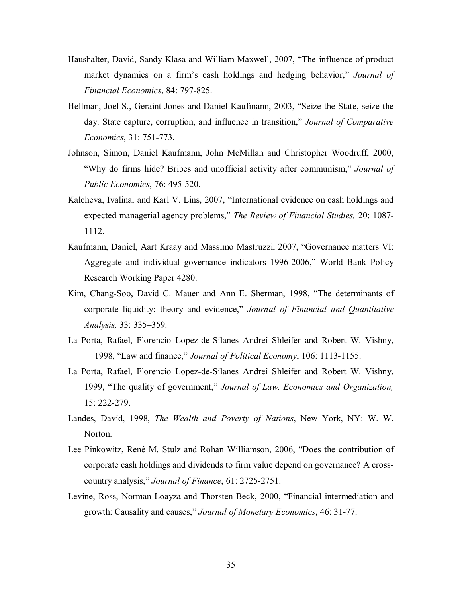- Haushalter, David, Sandy Klasa and William Maxwell, 2007, "The influence of product market dynamics on a firm's cash holdings and hedging behavior," *Journal of Financial Economics*, 84: 797-825.
- Hellman, Joel S., Geraint Jones and Daniel Kaufmann, 2003, "Seize the State, seize the day. State capture, corruption, and influence in transition," *Journal of Comparative Economics*, 31: 751-773.
- Johnson, Simon, Daniel Kaufmann, John McMillan and Christopher Woodruff, 2000, "Why do firms hide? Bribes and unofficial activity after communism," *Journal of Public Economics*, 76: 495-520.
- Kalcheva, Ivalina, and Karl V. Lins, 2007, "International evidence on cash holdings and expected managerial agency problems," *The Review of Financial Studies,* 20: 1087 1112.
- Kaufmann, Daniel, Aart Kraay and Massimo Mastruzzi, 2007, "Governance matters VI: Aggregate and individual governance indicators 1996-2006," World Bank Policy Research Working Paper 4280.
- Kim, Chang-Soo, David C. Mauer and Ann E. Sherman, 1998, "The determinants of corporate liquidity: theory and evidence," *Journal of Financial and Quantitative Analysis,* 33: 335–359.
- La Porta, Rafael, Florencio Lopez-de-Silanes Andrei Shleifer and Robert W. Vishny, 1998, "Law and finance," *Journal of Political Economy*, 106: 1113-1155.
- La Porta, Rafael, Florencio Lopez-de-Silanes Andrei Shleifer and Robert W. Vishny, 1999, "The quality of government," *Journal of Law, Economics and Organization,* 15: 222-279.
- Landes, David, 1998, *The Wealth and Poverty of Nations*, New York, NY: W. W. Norton.
- Lee Pinkowitz, René M. Stulz and Rohan Williamson, 2006, "Does the contribution of corporate cash holdings and dividends to firm value depend on governance? A crosscountry analysis," *Journal of Finance*, 61: 2725-2751.
- Levine, Ross, Norman Loayza and Thorsten Beck, 2000, "Financial intermediation and growth: Causality and causes," *Journal of Monetary Economics*, 46: 31-77.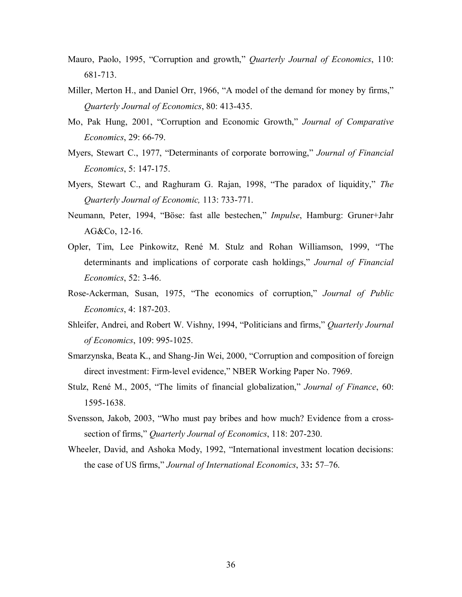- Mauro, Paolo, 1995, "Corruption and growth," *Quarterly Journal of Economics*, 110: 681-713.
- Miller, Merton H., and Daniel Orr, 1966, "A model of the demand for money by firms," *Quarterly Journal of Economics*, 80: 413435.
- Mo, Pak Hung, 2001, "Corruption and Economic Growth," *Journal of Comparative Economics*, 29: 66-79.
- Myers, Stewart C., 1977, "Determinants of corporate borrowing," *Journal of Financial Economics*, 5: 147-175.
- Myers, Stewart C., and Raghuram G. Rajan, 1998, "The paradox of liquidity," *The Quarterly Journal of Economic, 113: 733-771.*
- Neumann, Peter, 1994, "Böse: fast alle bestechen," *Impulse*, Hamburg: Gruner+Jahr AG&Co, 12-16.
- Opler, Tim, Lee Pinkowitz, René M. Stulz and Rohan Williamson, 1999, "The determinants and implications of corporate cash holdings," *Journal of Financial Economics*, 52: 3-46.
- RoseAckerman, Susan, 1975, "The economics of corruption," *Journal of Public Economics*, 4: 187-203.
- Shleifer, Andrei, and Robert W. Vishny, 1994, "Politicians and firms," *Quarterly Journal of Economics*, 109: 995-1025.
- Smarzynska, Beata K., and Shang-Jin Wei, 2000, "Corruption and composition of foreign direct investment: Firm-level evidence," NBER Working Paper No. 7969.
- Stulz, René M., 2005, "The limits of financial globalization," *Journal of Finance*, 60: 15951638.
- Svensson, Jakob, 2003, "Who must pay bribes and how much? Evidence from a crosssection of firms," *Quarterly Journal of Economics*, 118: 207-230.
- Wheeler, David, and Ashoka Mody, 1992, "International investment location decisions: the case of US firms," *Journal of International Economics*, 33**:** 57–76.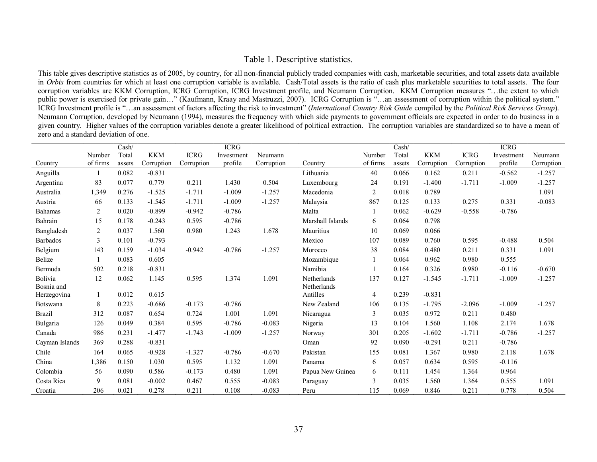## Table 1. Descriptive statistics.

This table gives descriptive statistics as of 2005, by country, for all non-financial publicly traded companies with cash, marketable securities, and total assets data available in *Orbis* from countries for which at least one corruption variable is available. Cash/Total assets is the ratio of cash plus marketable securities to total assets. The four corruption variables are KKM Corruption, ICRG Corruption, ICRG Investment profile, and Neumann Corruption. KKM Corruption measures "...the extent to which public power is exercised for private gain..." (Kaufmann, Kraay and Mastruzzi, 2007). ICRG Corruption is "...an assessment of corruption within the political system." ICRG Investment profile is "...an assessment of factors affecting the risk to investment" (International Country Risk Guide compiled by the Political Risk Services Group). Neumann Corruption, developed by Neumann (1994), measures the frequency with which side payments to government officials are expected in order to do business in a given country. Higher values of the corruption variables denote a greater likelihood of political extraction. The corruption variables are standardized so to have a mean of zero and a standard deviation of one.

|                       |                | Cash/  |            |             | <b>ICRG</b> |            |                            |                | Cash/  |            |             | <b>ICRG</b> |            |
|-----------------------|----------------|--------|------------|-------------|-------------|------------|----------------------------|----------------|--------|------------|-------------|-------------|------------|
|                       | Number         | Total  | <b>KKM</b> | <b>ICRG</b> | Investment  | Neumann    |                            | Number         | Total  | <b>KKM</b> | <b>ICRG</b> | Investment  | Neumann    |
| Country               | of firms       | assets | Corruption | Corruption  | profile     | Corruption | Country                    | of firms       | assets | Corruption | Corruption  | profile     | Corruption |
| Anguilla              |                | 0.082  | $-0.831$   |             |             |            | Lithuania                  | 40             | 0.066  | 0.162      | 0.211       | $-0.562$    | $-1.257$   |
| Argentina             | 83             | 0.077  | 0.779      | 0.211       | 1.430       | 0.504      | Luxembourg                 | 24             | 0.191  | $-1.400$   | $-1.711$    | $-1.009$    | $-1.257$   |
| Australia             | 1,349          | 0.276  | $-1.525$   | $-1.711$    | $-1.009$    | $-1.257$   | Macedonia                  | $\sqrt{2}$     | 0.018  | 0.789      |             |             | 1.091      |
| Austria               | 66             | 0.133  | $-1.545$   | $-1.711$    | $-1.009$    | $-1.257$   | Malaysia                   | 867            | 0.125  | 0.133      | 0.275       | 0.331       | $-0.083$   |
| <b>Bahamas</b>        | $\overline{2}$ | 0.020  | $-0.899$   | $-0.942$    | $-0.786$    |            | Malta                      |                | 0.062  | $-0.629$   | $-0.558$    | $-0.786$    |            |
| Bahrain               | 15             | 0.178  | $-0.243$   | 0.595       | $-0.786$    |            | Marshall Islands           | 6              | 0.064  | 0.798      |             |             |            |
| Bangladesh            | $\overline{c}$ | 0.037  | 1.560      | 0.980       | 1.243       | 1.678      | Mauritius                  | 10             | 0.069  | 0.066      |             |             |            |
| <b>Barbados</b>       | 3              | 0.101  | $-0.793$   |             |             |            | Mexico                     | 107            | 0.089  | 0.760      | 0.595       | $-0.488$    | 0.504      |
| Belgium               | 143            | 0.159  | $-1.034$   | $-0.942$    | $-0.786$    | $-1.257$   | Morocco                    | 38             | 0.084  | 0.480      | 0.211       | 0.331       | 1.091      |
| Belize                |                | 0.083  | 0.605      |             |             |            | Mozambique                 |                | 0.064  | 0.962      | 0.980       | 0.555       |            |
| Bermuda               | 502            | 0.218  | $-0.831$   |             |             |            | Namibia                    |                | 0.164  | 0.326      | 0.980       | $-0.116$    | $-0.670$   |
| Bolivia<br>Bosnia and | 12             | 0.062  | 1.145      | 0.595       | 1.374       | 1.091      | Netherlands<br>Netherlands | 137            | 0.127  | $-1.545$   | $-1.711$    | $-1.009$    | $-1.257$   |
| Herzegovina           | 1              | 0.012  | 0.615      |             |             |            | Antilles                   | $\overline{4}$ | 0.239  | $-0.831$   |             |             |            |
| Botswana              | 8              | 0.223  | $-0.686$   | $-0.173$    | $-0.786$    |            | New Zealand                | 106            | 0.135  | $-1.795$   | $-2.096$    | $-1.009$    | $-1.257$   |
| <b>Brazil</b>         | 312            | 0.087  | 0.654      | 0.724       | 1.001       | 1.091      | Nicaragua                  | 3              | 0.035  | 0.972      | 0.211       | 0.480       |            |
| Bulgaria              | 126            | 0.049  | 0.384      | 0.595       | $-0.786$    | $-0.083$   | Nigeria                    | 13             | 0.104  | 1.560      | 1.108       | 2.174       | 1.678      |
| Canada                | 986            | 0.231  | $-1.477$   | $-1.743$    | $-1.009$    | $-1.257$   | Norway                     | 301            | 0.205  | $-1.602$   | $-1.711$    | $-0.786$    | $-1.257$   |
| Cayman Islands        | 369            | 0.288  | $-0.831$   |             |             |            | Oman                       | 92             | 0.090  | $-0.291$   | 0.211       | $-0.786$    |            |
| Chile                 | 164            | 0.065  | $-0.928$   | $-1.327$    | $-0.786$    | $-0.670$   | Pakistan                   | 155            | 0.081  | 1.367      | 0.980       | 2.118       | 1.678      |
| China                 | 1,386          | 0.150  | 1.030      | 0.595       | 1.132       | 1.091      | Panama                     | 6              | 0.057  | 0.634      | 0.595       | $-0.116$    |            |
| Colombia              | 56             | 0.090  | 0.586      | $-0.173$    | 0.480       | 1.091      | Papua New Guinea           | 6              | 0.111  | 1.454      | 1.364       | 0.964       |            |
| Costa Rica            | 9              | 0.081  | $-0.002$   | 0.467       | 0.555       | $-0.083$   | Paraguay                   | 3              | 0.035  | 1.560      | 1.364       | 0.555       | 1.091      |
| Croatia               | 206            | 0.021  | 0.278      | 0.211       | 0.108       | $-0.083$   | Peru                       | 115            | 0.069  | 0.846      | 0.211       | 0.778       | 0.504      |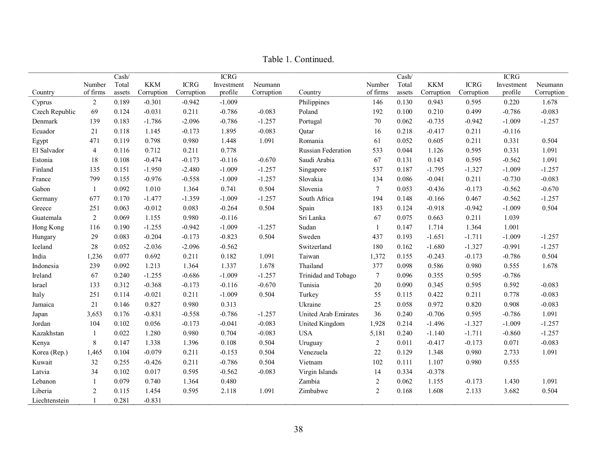|                |                | Cash/  |            |             | <b>ICRG</b> |            |                             |                  | Cash/  |            |             | <b>ICRG</b> |            |
|----------------|----------------|--------|------------|-------------|-------------|------------|-----------------------------|------------------|--------|------------|-------------|-------------|------------|
|                | Number         | Total  | <b>KKM</b> | <b>ICRG</b> | Investment  | Neumann    |                             | Number           | Total  | <b>KKM</b> | <b>ICRG</b> | Investment  | Neumann    |
| Country        | of firms       | assets | Corruption | Corruption  | profile     | Corruption | Country                     | of firms         | assets | Corruption | Corruption  | profile     | Corruption |
| Cyprus         | $\overline{2}$ | 0.189  | $-0.301$   | $-0.942$    | $-1.009$    |            | Philippines                 | 146              | 0.130  | 0.943      | 0.595       | 0.220       | 1.678      |
| Czech Republic | 69             | 0.124  | $-0.031$   | 0.211       | $-0.786$    | $-0.083$   | Poland                      | 192              | 0.100  | 0.210      | 0.499       | $-0.786$    | $-0.083$   |
| Denmark        | 139            | 0.183  | $-1.786$   | $-2.096$    | $-0.786$    | $-1.257$   | Portugal                    | 70               | 0.062  | $-0.735$   | $-0.942$    | $-1.009$    | $-1.257$   |
| Ecuador        | 21             | 0.118  | 1.145      | $-0.173$    | 1.895       | $-0.083$   | Qatar                       | 16               | 0.218  | $-0.417$   | 0.211       | $-0.116$    |            |
| Egypt          | 471            | 0.119  | 0.798      | 0.980       | 1.448       | 1.091      | Romania                     | 61               | 0.052  | 0.605      | 0.211       | 0.331       | 0.504      |
| El Salvador    | $\overline{4}$ | 0.116  | 0.712      | 0.211       | 0.778       |            | Russian Federation          | 533              | 0.044  | 1.126      | 0.595       | 0.331       | 1.091      |
| Estonia        | 18             | 0.108  | $-0.474$   | $-0.173$    | $-0.116$    | $-0.670$   | Saudi Arabia                | 67               | 0.131  | 0.143      | 0.595       | $-0.562$    | 1.091      |
| Finland        | 135            | 0.151  | $-1.950$   | $-2.480$    | $-1.009$    | $-1.257$   | Singapore                   | 537              | 0.187  | $-1.795$   | $-1.327$    | $-1.009$    | $-1.257$   |
| France         | 799            | 0.155  | $-0.976$   | $-0.558$    | $-1.009$    | $-1.257$   | Slovakia                    | 134              | 0.086  | $-0.041$   | 0.211       | $-0.730$    | $-0.083$   |
| Gabon          |                | 0.092  | 1.010      | 1.364       | 0.741       | 0.504      | Slovenia                    | $\tau$           | 0.053  | $-0.436$   | $-0.173$    | $-0.562$    | $-0.670$   |
| Germany        | 677            | 0.170  | $-1.477$   | $-1.359$    | $-1.009$    | $-1.257$   | South Africa                | 194              | 0.148  | $-0.166$   | 0.467       | $-0.562$    | $-1.257$   |
| Greece         | 251            | 0.063  | $-0.012$   | 0.083       | $-0.264$    | 0.504      | Spain                       | 183              | 0.124  | $-0.918$   | $-0.942$    | $-1.009$    | 0.504      |
| Guatemala      | $\overline{2}$ | 0.069  | 1.155      | 0.980       | $-0.116$    |            | Sri Lanka                   | 67               | 0.075  | 0.663      | 0.211       | 1.039       |            |
| Hong Kong      | 116            | 0.190  | $-1.255$   | $-0.942$    | $-1.009$    | $-1.257$   | Sudan                       | 1                | 0.147  | 1.714      | 1.364       | 1.001       |            |
| Hungary        | 29             | 0.083  | $-0.204$   | $-0.173$    | $-0.823$    | 0.504      | Sweden                      | 437              | 0.193  | $-1.651$   | $-1.711$    | $-1.009$    | $-1.257$   |
| Iceland        | 28             | 0.052  | $-2.036$   | $-2.096$    | $-0.562$    |            | Switzerland                 | 180              | 0.162  | $-1.680$   | $-1.327$    | $-0.991$    | $-1.257$   |
| India          | 1,236          | 0.077  | 0.692      | 0.211       | 0.182       | 1.091      | Taiwan                      | 1,372            | 0.155  | $-0.243$   | $-0.173$    | $-0.786$    | 0.504      |
| Indonesia      | 239            | 0.092  | 1.213      | 1.364       | 1.337       | 1.678      | Thailand                    | 377              | 0.098  | 0.586      | 0.980       | 0.555       | 1.678      |
| Ireland        | 67             | 0.240  | $-1.255$   | $-0.686$    | $-1.009$    | $-1.257$   | Trinidad and Tobago         | $\boldsymbol{7}$ | 0.096  | 0.355      | 0.595       | $-0.786$    |            |
| Israel         | 133            | 0.312  | $-0.368$   | $-0.173$    | $-0.116$    | $-0.670$   | Tunisia                     | 20               | 0.090  | 0.345      | 0.595       | 0.592       | $-0.083$   |
| Italy          | 251            | 0.114  | $-0.021$   | 0.211       | $-1.009$    | 0.504      | Turkey                      | 55               | 0.115  | 0.422      | 0.211       | 0.778       | $-0.083$   |
| Jamaica        | 21             | 0.146  | 0.827      | 0.980       | 0.313       |            | Ukraine                     | 25               | 0.058  | 0.972      | 0.820       | 0.908       | $-0.083$   |
| Japan          | 3,653          | 0.176  | $-0.831$   | $-0.558$    | $-0.786$    | $-1.257$   | <b>United Arab Emirates</b> | 36               | 0.240  | $-0.706$   | 0.595       | $-0.786$    | 1.091      |
| Jordan         | 104            | 0.102  | 0.056      | $-0.173$    | $-0.041$    | $-0.083$   | United Kingdom              | 1,928            | 0.214  | $-1.496$   | $-1.327$    | $-1.009$    | $-1.257$   |
| Kazakhstan     | 1              | 0.022  | 1.280      | 0.980       | 0.704       | $-0.083$   | <b>USA</b>                  | 5,181            | 0.240  | $-1.140$   | $-1.711$    | $-0.860$    | $-1.257$   |
| Kenya          | 8              | 0.147  | 1.338      | 1.396       | 0.108       | 0.504      | Uruguay                     | $\overline{2}$   | 0.011  | $-0.417$   | $-0.173$    | 0.071       | $-0.083$   |
| Korea (Rep.)   | 1,465          | 0.104  | $-0.079$   | 0.211       | $-0.153$    | 0.504      | Venezuela                   | 22               | 0.129  | 1.348      | 0.980       | 2.733       | 1.091      |
| Kuwait         | 32             | 0.255  | $-0.426$   | 0.211       | $-0.786$    | 0.504      | Vietnam                     | 102              | 0.111  | 1.107      | 0.980       | 0.555       |            |
| Latvia         | 34             | 0.102  | 0.017      | 0.595       | $-0.562$    | $-0.083$   | Virgin Islands              | 14               | 0.334  | $-0.378$   |             |             |            |
| Lebanon        |                | 0.079  | 0.740      | 1.364       | 0.480       |            | Zambia                      | $\overline{2}$   | 0.062  | 1.155      | $-0.173$    | 1.430       | 1.091      |
| Liberia        | $\overline{2}$ | 0.115  | 1.454      | 0.595       | 2.118       | 1.091      | Zimbabwe                    | $\overline{2}$   | 0.168  | 1.608      | 2.133       | 3.682       | 0.504      |
| Liechtenstein  |                | 0.281  | $-0.831$   |             |             |            |                             |                  |        |            |             |             |            |

Table 1. Continued.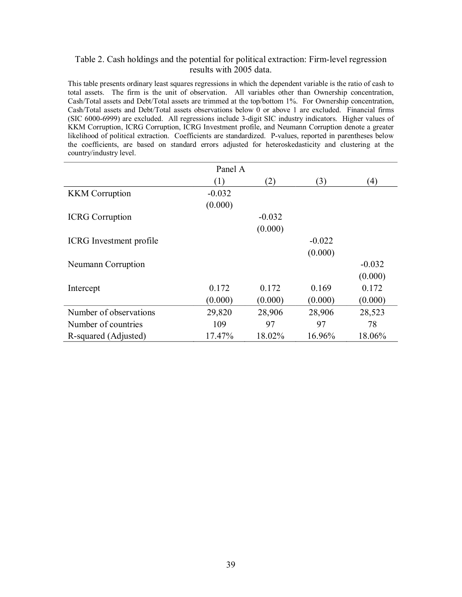## Table 2. Cash holdings and the potential for political extraction: Firm-level regression results with 2005 data.

This table presents ordinary least squares regressions in which the dependent variable is the ratio of cash to total assets. The firm is the unit of observation. All variables other than Ownership concentration, Cash/Total assets and Debt/Total assets are trimmed at the top/bottom 1%. For Ownership concentration, Cash/Total assets and Debt/Total assets observations below 0 or above 1 are excluded. Financial firms (SIC 6000-6999) are excluded. All regressions include 3-digit SIC industry indicators. Higher values of KKM Corruption, ICRG Corruption, ICRG Investment profile, and Neumann Corruption denote a greater likelihood of political extraction. Coefficients are standardized. P-values, reported in parentheses below the coefficients, are based on standard errors adjusted for heteroskedasticity and clustering at the country/industry level.

|                                | Panel A  |          |          |                  |
|--------------------------------|----------|----------|----------|------------------|
|                                | (1)      | (2)      | (3)      | $\left(4\right)$ |
| <b>KKM</b> Corruption          | $-0.032$ |          |          |                  |
|                                | (0.000)  |          |          |                  |
| <b>ICRG</b> Corruption         |          | $-0.032$ |          |                  |
|                                |          | (0.000)  |          |                  |
| <b>ICRG</b> Investment profile |          |          | $-0.022$ |                  |
|                                |          |          | (0.000)  |                  |
| Neumann Corruption             |          |          |          | $-0.032$         |
|                                |          |          |          | (0.000)          |
| Intercept                      | 0.172    | 0.172    | 0.169    | 0.172            |
|                                | (0.000)  | (0.000)  | (0.000)  | (0.000)          |
| Number of observations         | 29,820   | 28,906   | 28,906   | 28,523           |
| Number of countries            | 109      | 97       | 97       | 78               |
| R-squared (Adjusted)           | 17.47%   | 18.02%   | 16.96%   | 18.06%           |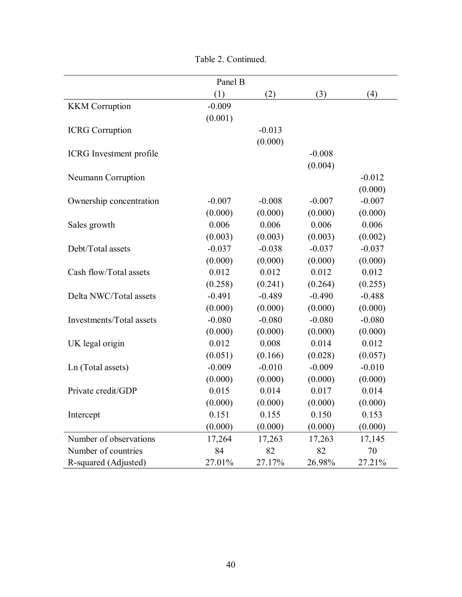|                                | Panel B  |          |          |          |
|--------------------------------|----------|----------|----------|----------|
|                                | (1)      | (2)      | (3)      | (4)      |
| <b>KKM</b> Corruption          | $-0.009$ |          |          |          |
|                                | (0.001)  |          |          |          |
| <b>ICRG</b> Corruption         |          | $-0.013$ |          |          |
|                                |          | (0.000)  |          |          |
| <b>ICRG</b> Investment profile |          |          | $-0.008$ |          |
|                                |          |          | (0.004)  |          |
| Neumann Corruption             |          |          |          | $-0.012$ |
|                                |          |          |          | (0.000)  |
| Ownership concentration        | $-0.007$ | $-0.008$ | $-0.007$ | $-0.007$ |
|                                | (0.000)  | (0.000)  | (0.000)  | (0.000)  |
| Sales growth                   | 0.006    | 0.006    | 0.006    | 0.006    |
|                                | (0.003)  | (0.003)  | (0.003)  | (0.002)  |
| Debt/Total assets              | $-0.037$ | $-0.038$ | $-0.037$ | $-0.037$ |
|                                | (0.000)  | (0.000)  | (0.000)  | (0.000)  |
| Cash flow/Total assets         | 0.012    | 0.012    | 0.012    | 0.012    |
|                                | (0.258)  | (0.241)  | (0.264)  | (0.255)  |
| Delta NWC/Total assets         | $-0.491$ | $-0.489$ | $-0.490$ | $-0.488$ |
|                                | (0.000)  | (0.000)  | (0.000)  | (0.000)  |
| Investments/Total assets       | $-0.080$ | $-0.080$ | $-0.080$ | $-0.080$ |
|                                | (0.000)  | (0.000)  | (0.000)  | (0.000)  |
| UK legal origin                | 0.012    | 0.008    | 0.014    | 0.012    |
|                                | (0.051)  | (0.166)  | (0.028)  | (0.057)  |
| Ln (Total assets)              | $-0.009$ | $-0.010$ | $-0.009$ | $-0.010$ |
|                                | (0.000)  | (0.000)  | (0.000)  | (0.000)  |
| Private credit/GDP             | 0.015    | 0.014    | 0.017    | 0.014    |
|                                | (0.000)  | (0.000)  | (0.000)  | (0.000)  |
| Intercept                      | 0.151    | 0.155    | 0.150    | 0.153    |
|                                | (0.000)  | (0.000)  | (0.000)  | (0.000)  |
| Number of observations         | 17,264   | 17,263   | 17,263   | 17,145   |
| Number of countries            | 84       | 82       | 82       | 70       |
| R-squared (Adjusted)           | 27.01%   | 27.17%   | 26.98%   | 27.21%   |

Table 2. Continued.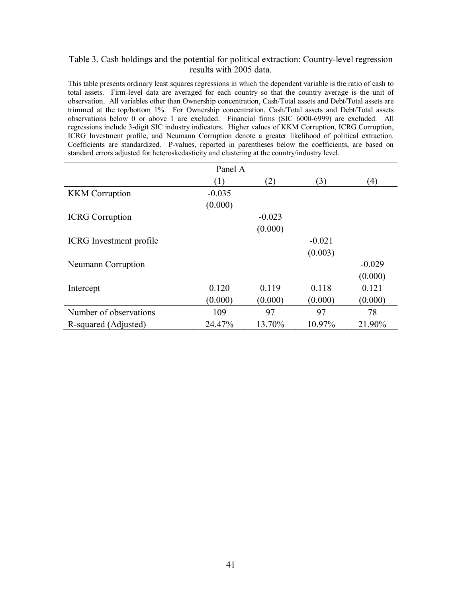## Table 3. Cash holdings and the potential for political extraction: Country-level regression results with 2005 data.

This table presents ordinary least squares regressions in which the dependent variable is the ratio of cash to total assets. Firm-level data are averaged for each country so that the country average is the unit of observation. All variables other than Ownership concentration, Cash/Total assets and Debt/Total assets are trimmed at the top/bottom 1%. For Ownership concentration, Cash/Total assets and Debt/Total assets observations below 0 or above 1 are excluded. Financial firms (SIC 6000-6999) are excluded. All regressions include 3-digit SIC industry indicators. Higher values of KKM Corruption, ICRG Corruption, ICRG Investment profile, and Neumann Corruption denote a greater likelihood of political extraction. Coefficients are standardized. P-values, reported in parentheses below the coefficients, are based on standard errors adjusted for heteroskedasticity and clustering at the country/industry level.

|                                | Panel A  |          |          |          |
|--------------------------------|----------|----------|----------|----------|
|                                | (1)      | (2)      | (3)      | (4)      |
| <b>KKM</b> Corruption          | $-0.035$ |          |          |          |
|                                | (0.000)  |          |          |          |
| <b>ICRG</b> Corruption         |          | $-0.023$ |          |          |
|                                |          | (0.000)  |          |          |
| <b>ICRG</b> Investment profile |          |          | $-0.021$ |          |
|                                |          |          | (0.003)  |          |
| Neumann Corruption             |          |          |          | $-0.029$ |
|                                |          |          |          | (0.000)  |
| Intercept                      | 0.120    | 0.119    | 0.118    | 0.121    |
|                                | (0.000)  | (0.000)  | (0.000)  | (0.000)  |
| Number of observations         | 109      | 97       | 97       | 78       |
| R-squared (Adjusted)           | 24.47%   | 13.70%   | 10.97%   | 21.90%   |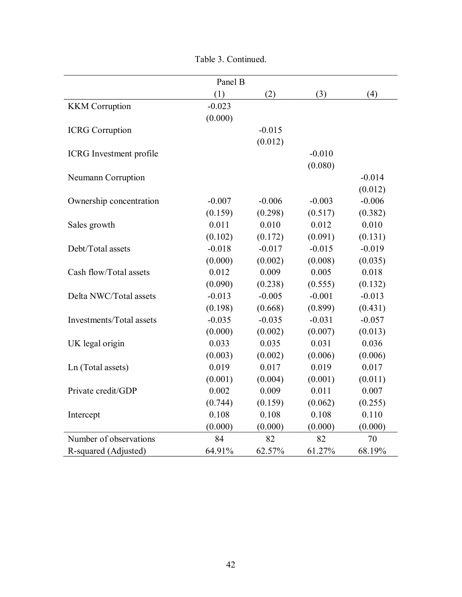|                                | Panel B  |          |          |          |
|--------------------------------|----------|----------|----------|----------|
|                                | (1)      | (2)      | (3)      | (4)      |
| <b>KKM</b> Corruption          | $-0.023$ |          |          |          |
|                                | (0.000)  |          |          |          |
| <b>ICRG</b> Corruption         |          | $-0.015$ |          |          |
|                                |          | (0.012)  |          |          |
| <b>ICRG</b> Investment profile |          |          | $-0.010$ |          |
|                                |          |          | (0.080)  |          |
| Neumann Corruption             |          |          |          | $-0.014$ |
|                                |          |          |          | (0.012)  |
| Ownership concentration        | $-0.007$ | $-0.006$ | $-0.003$ | $-0.006$ |
|                                | (0.159)  | (0.298)  | (0.517)  | (0.382)  |
| Sales growth                   | 0.011    | 0.010    | 0.012    | 0.010    |
|                                | (0.102)  | (0.172)  | (0.091)  | (0.131)  |
| Debt/Total assets              | $-0.018$ | $-0.017$ | $-0.015$ | $-0.019$ |
|                                | (0.000)  | (0.002)  | (0.008)  | (0.035)  |
| Cash flow/Total assets         | 0.012    | 0.009    | 0.005    | 0.018    |
|                                | (0.090)  | (0.238)  | (0.555)  | (0.132)  |
| Delta NWC/Total assets         | $-0.013$ | $-0.005$ | $-0.001$ | $-0.013$ |
|                                | (0.198)  | (0.668)  | (0.899)  | (0.431)  |
| Investments/Total assets       | $-0.035$ | $-0.035$ | $-0.031$ | $-0.057$ |
|                                | (0.000)  | (0.002)  | (0.007)  | (0.013)  |
| UK legal origin                | 0.033    | 0.035    | 0.031    | 0.036    |
|                                | (0.003)  | (0.002)  | (0.006)  | (0.006)  |
| Ln (Total assets)              | 0.019    | 0.017    | 0.019    | 0.017    |
|                                | (0.001)  | (0.004)  | (0.001)  | (0.011)  |
| Private credit/GDP             | 0.002    | 0.009    | 0.011    | 0.007    |
|                                | (0.744)  | (0.159)  | (0.062)  | (0.255)  |
| Intercept                      | 0.108    | 0.108    | 0.108    | 0.110    |
|                                | (0.000)  | (0.000)  | (0.000)  | (0.000)  |
| Number of observations         | 84       | 82       | 82       | 70       |
| R-squared (Adjusted)           | 64.91%   | 62.57%   | 61.27%   | 68.19%   |

Table 3. Continued.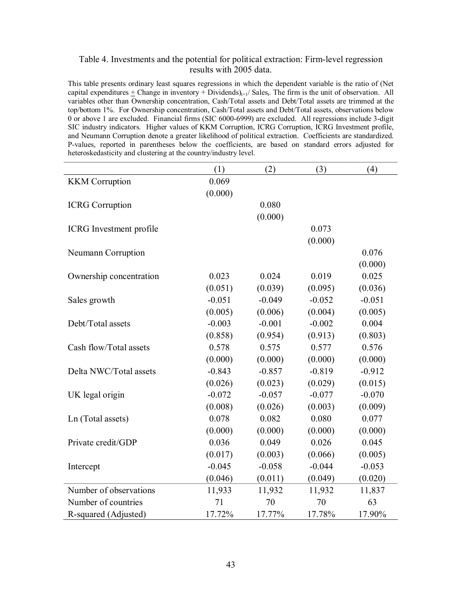## Table 4. Investments and the potential for political extraction: Firm-level regression results with 2005 data.

This table presents ordinary least squares regressions in which the dependent variable is the ratio of (Net capital expenditures  $\pm$  Change in inventory  $+$  Dividends)<sub>t+1</sub>/ Sales<sub>t</sub>. The firm is the unit of observation. All variables other than Ownership concentration, Cash/Total assets and Debt/Total assets are trimmed at the top/bottom 1%. For Ownership concentration, Cash/Total assets and Debt/Total assets, observations below 0 or above 1 are excluded. Financial firms (SIC 6000-6999) are excluded. All regressions include 3-digit SIC industry indicators. Higher values of KKM Corruption, ICRG Corruption, ICRG Investment profile, and Neumann Corruption denote a greater likelihood of political extraction. Coefficients are standardized. P-values, reported in parentheses below the coefficients, are based on standard errors adjusted for heteroskedasticity and clustering at the country/industry level.

|                                | (1)      | (2)      | (3)      | (4)      |
|--------------------------------|----------|----------|----------|----------|
| <b>KKM</b> Corruption          | 0.069    |          |          |          |
|                                | (0.000)  |          |          |          |
| <b>ICRG</b> Corruption         |          | 0.080    |          |          |
|                                |          | (0.000)  |          |          |
| <b>ICRG</b> Investment profile |          |          | 0.073    |          |
|                                |          |          | (0.000)  |          |
| Neumann Corruption             |          |          |          | 0.076    |
|                                |          |          |          | (0.000)  |
| Ownership concentration        | 0.023    | 0.024    | 0.019    | 0.025    |
|                                | (0.051)  | (0.039)  | (0.095)  | (0.036)  |
| Sales growth                   | $-0.051$ | $-0.049$ | $-0.052$ | $-0.051$ |
|                                | (0.005)  | (0.006)  | (0.004)  | (0.005)  |
| Debt/Total assets              | $-0.003$ | $-0.001$ | $-0.002$ | 0.004    |
|                                | (0.858)  | (0.954)  | (0.913)  | (0.803)  |
| Cash flow/Total assets         | 0.578    | 0.575    | 0.577    | 0.576    |
|                                | (0.000)  | (0.000)  | (0.000)  | (0.000)  |
| Delta NWC/Total assets         | $-0.843$ | $-0.857$ | $-0.819$ | $-0.912$ |
|                                | (0.026)  | (0.023)  | (0.029)  | (0.015)  |
| UK legal origin                | $-0.072$ | $-0.057$ | $-0.077$ | $-0.070$ |
|                                | (0.008)  | (0.026)  | (0.003)  | (0.009)  |
| Ln (Total assets)              | 0.078    | 0.082    | 0.080    | 0.077    |
|                                | (0.000)  | (0.000)  | (0.000)  | (0.000)  |
| Private credit/GDP             | 0.036    | 0.049    | 0.026    | 0.045    |
|                                | (0.017)  | (0.003)  | (0.066)  | (0.005)  |
| Intercept                      | $-0.045$ | $-0.058$ | $-0.044$ | $-0.053$ |
|                                | (0.046)  | (0.011)  | (0.049)  | (0.020)  |
| Number of observations         | 11,933   | 11,932   | 11,932   | 11,837   |
| Number of countries            | 71       | 70       | 70       | 63       |
| R-squared (Adjusted)           | 17.72%   | 17.77%   | 17.78%   | 17.90%   |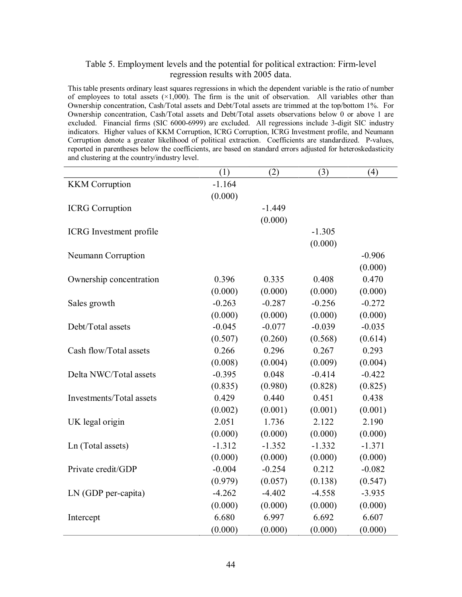## Table 5. Employment levels and the potential for political extraction: Firmlevel regression results with 2005 data.

This table presents ordinary least squares regressions in which the dependent variable is the ratio of number of employees to total assets  $(\times1,000)$ . The firm is the unit of observation. All variables other than Ownership concentration, Cash/Total assets and Debt/Total assets are trimmed at the top/bottom 1%. For Ownership concentration, Cash/Total assets and Debt/Total assets observations below 0 or above 1 are excluded. Financial firms (SIC 6000-6999) are excluded. All regressions include 3-digit SIC industry indicators. Higher values of KKM Corruption, ICRG Corruption, ICRG Investment profile, and Neumann Corruption denote a greater likelihood of political extraction. Coefficients are standardized. P-values, reported in parentheses below the coefficients, are based on standard errors adjusted for heteroskedasticity and clustering at the country/industry level.

|                                | (1)      | (2)      | (3)      | (4)      |
|--------------------------------|----------|----------|----------|----------|
| <b>KKM</b> Corruption          | $-1.164$ |          |          |          |
|                                | (0.000)  |          |          |          |
| <b>ICRG</b> Corruption         |          | $-1.449$ |          |          |
|                                |          | (0.000)  |          |          |
| <b>ICRG</b> Investment profile |          |          | $-1.305$ |          |
|                                |          |          | (0.000)  |          |
| Neumann Corruption             |          |          |          | $-0.906$ |
|                                |          |          |          | (0.000)  |
| Ownership concentration        | 0.396    | 0.335    | 0.408    | 0.470    |
|                                | (0.000)  | (0.000)  | (0.000)  | (0.000)  |
| Sales growth                   | $-0.263$ | $-0.287$ | $-0.256$ | $-0.272$ |
|                                | (0.000)  | (0.000)  | (0.000)  | (0.000)  |
| Debt/Total assets              | $-0.045$ | $-0.077$ | $-0.039$ | $-0.035$ |
|                                | (0.507)  | (0.260)  | (0.568)  | (0.614)  |
| Cash flow/Total assets         | 0.266    | 0.296    | 0.267    | 0.293    |
|                                | (0.008)  | (0.004)  | (0.009)  | (0.004)  |
| Delta NWC/Total assets         | $-0.395$ | 0.048    | $-0.414$ | $-0.422$ |
|                                | (0.835)  | (0.980)  | (0.828)  | (0.825)  |
| Investments/Total assets       | 0.429    | 0.440    | 0.451    | 0.438    |
|                                | (0.002)  | (0.001)  | (0.001)  | (0.001)  |
| UK legal origin                | 2.051    | 1.736    | 2.122    | 2.190    |
|                                | (0.000)  | (0.000)  | (0.000)  | (0.000)  |
| Ln (Total assets)              | $-1.312$ | $-1.352$ | $-1.332$ | $-1.371$ |
|                                | (0.000)  | (0.000)  | (0.000)  | (0.000)  |
| Private credit/GDP             | $-0.004$ | $-0.254$ | 0.212    | $-0.082$ |
|                                | (0.979)  | (0.057)  | (0.138)  | (0.547)  |
| LN (GDP per-capita)            | $-4.262$ | $-4.402$ | $-4.558$ | $-3.935$ |
|                                | (0.000)  | (0.000)  | (0.000)  | (0.000)  |
| Intercept                      | 6.680    | 6.997    | 6.692    | 6.607    |
|                                | (0.000)  | (0.000)  | (0.000)  | (0.000)  |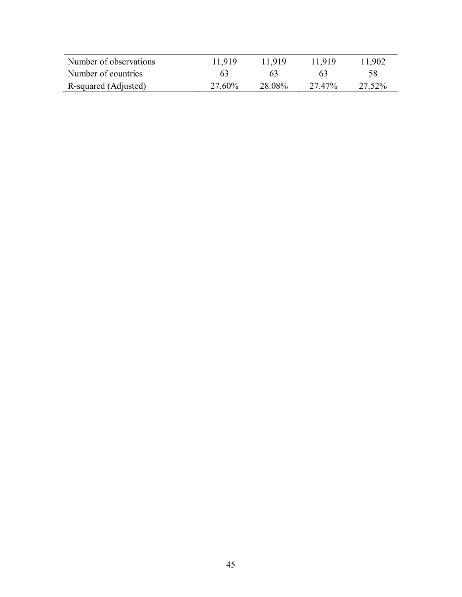| Number of observations | 11.919 | 11919  | 11.919 | 11,902 |
|------------------------|--------|--------|--------|--------|
| Number of countries    | 63     | 63     | 63     | 58     |
| R-squared (Adjusted)   | 27.60% | 28.08% | 27.47% | 27.52% |
|                        |        |        |        |        |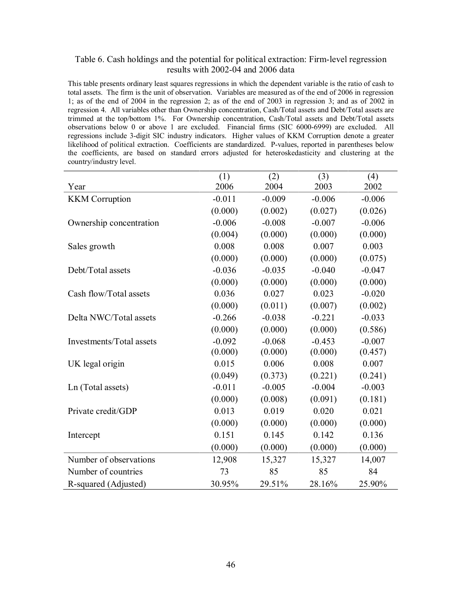## Table 6. Cash holdings and the potential for political extraction: Firm-level regression results with 2002-04 and 2006 data

This table presents ordinary least squares regressions in which the dependent variable is the ratio of cash to total assets. The firm is the unit of observation. Variables are measured as of the end of 2006 in regression 1; as of the end of 2004 in the regression 2; as of the end of 2003 in regression 3; and as of 2002 in regression 4. All variables other than Ownership concentration, Cash/Total assets and Debt/Total assets are trimmed at the top/bottom 1%. For Ownership concentration, Cash/Total assets and Debt/Total assets observations below 0 or above 1 are excluded. Financial firms (SIC 6000-6999) are excluded. All regressions include 3digit SIC industry indicators. Higher values of KKM Corruption denote a greater likelihood of political extraction. Coefficients are standardized. P-values, reported in parentheses below the coefficients, are based on standard errors adjusted for heteroskedasticity and clustering at the country/industry level.

|                          | (1)      | (2)      | (3)      | (4)      |
|--------------------------|----------|----------|----------|----------|
| Year                     | 2006     | 2004     | 2003     | 2002     |
| <b>KKM</b> Corruption    | $-0.011$ | $-0.009$ | $-0.006$ | $-0.006$ |
|                          | (0.000)  | (0.002)  | (0.027)  | (0.026)  |
| Ownership concentration  | $-0.006$ | $-0.008$ | $-0.007$ | $-0.006$ |
|                          | (0.004)  | (0.000)  | (0.000)  | (0.000)  |
| Sales growth             | 0.008    | 0.008    | 0.007    | 0.003    |
|                          | (0.000)  | (0.000)  | (0.000)  | (0.075)  |
| Debt/Total assets        | $-0.036$ | $-0.035$ | $-0.040$ | $-0.047$ |
|                          | (0.000)  | (0.000)  | (0.000)  | (0.000)  |
| Cash flow/Total assets   | 0.036    | 0.027    | 0.023    | $-0.020$ |
|                          | (0.000)  | (0.011)  | (0.007)  | (0.002)  |
| Delta NWC/Total assets   | $-0.266$ | $-0.038$ | $-0.221$ | $-0.033$ |
|                          | (0.000)  | (0.000)  | (0.000)  | (0.586)  |
| Investments/Total assets | $-0.092$ | $-0.068$ | $-0.453$ | $-0.007$ |
|                          | (0.000)  | (0.000)  | (0.000)  | (0.457)  |
| UK legal origin          | 0.015    | 0.006    | 0.008    | 0.007    |
|                          | (0.049)  | (0.373)  | (0.221)  | (0.241)  |
| Ln (Total assets)        | $-0.011$ | $-0.005$ | $-0.004$ | $-0.003$ |
|                          | (0.000)  | (0.008)  | (0.091)  | (0.181)  |
| Private credit/GDP       | 0.013    | 0.019    | 0.020    | 0.021    |
|                          | (0.000)  | (0.000)  | (0.000)  | (0.000)  |
| Intercept                | 0.151    | 0.145    | 0.142    | 0.136    |
|                          | (0.000)  | (0.000)  | (0.000)  | (0.000)  |
| Number of observations   | 12,908   | 15,327   | 15,327   | 14,007   |
| Number of countries      | 73       | 85       | 85       | 84       |
| R-squared (Adjusted)     | 30.95%   | 29.51%   | 28.16%   | 25.90%   |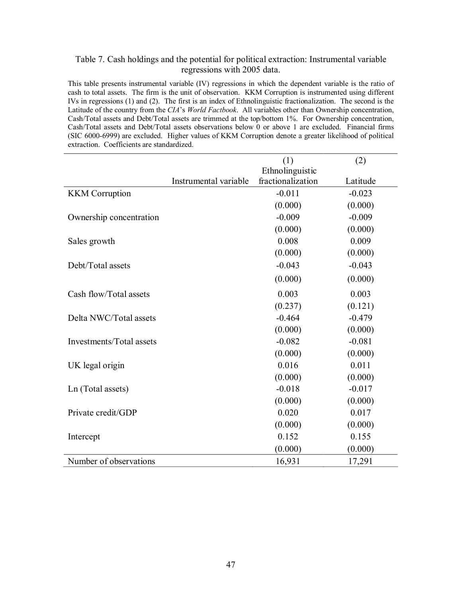## Table 7. Cash holdings and the potential for political extraction: Instrumental variable regressions with 2005 data.

This table presents instrumental variable (IV) regressions in which the dependent variable is the ratio of cash to total assets. The firm is the unit of observation. KKM Corruption is instrumented using different IVs in regressions (1) and (2). The first is an index of Ethnolinguistic fractionalization. The second is the Latitude of the country from the *CIA*'s *World Factbook*. All variables other than Ownership concentration, Cash/Total assets and Debt/Total assets are trimmed at the top/bottom 1%. For Ownership concentration, Cash/Total assets and Debt/Total assets observations below 0 or above 1 are excluded. Financial firms (SIC 60006999) are excluded. Higher values of KKM Corruption denote a greater likelihood of political extraction. Coefficients are standardized.

|                          |                       | (1)               | (2)      |
|--------------------------|-----------------------|-------------------|----------|
|                          |                       | Ethnolinguistic   |          |
|                          | Instrumental variable | fractionalization | Latitude |
| <b>KKM</b> Corruption    |                       | $-0.011$          | $-0.023$ |
|                          |                       | (0.000)           | (0.000)  |
| Ownership concentration  |                       | $-0.009$          | $-0.009$ |
|                          |                       | (0.000)           | (0.000)  |
| Sales growth             |                       | 0.008             | 0.009    |
|                          |                       | (0.000)           | (0.000)  |
| Debt/Total assets        |                       | $-0.043$          | $-0.043$ |
|                          |                       | (0.000)           | (0.000)  |
| Cash flow/Total assets   |                       | 0.003             | 0.003    |
|                          |                       | (0.237)           | (0.121)  |
| Delta NWC/Total assets   |                       | $-0.464$          | $-0.479$ |
|                          |                       | (0.000)           | (0.000)  |
| Investments/Total assets |                       | $-0.082$          | $-0.081$ |
|                          |                       | (0.000)           | (0.000)  |
| UK legal origin          |                       | 0.016             | 0.011    |
|                          |                       | (0.000)           | (0.000)  |
| Ln (Total assets)        |                       | $-0.018$          | $-0.017$ |
|                          |                       | (0.000)           | (0.000)  |
| Private credit/GDP       |                       | 0.020             | 0.017    |
|                          |                       | (0.000)           | (0.000)  |
| Intercept                |                       | 0.152             | 0.155    |
|                          |                       | (0.000)           | (0.000)  |
| Number of observations   |                       | 16,931            | 17,291   |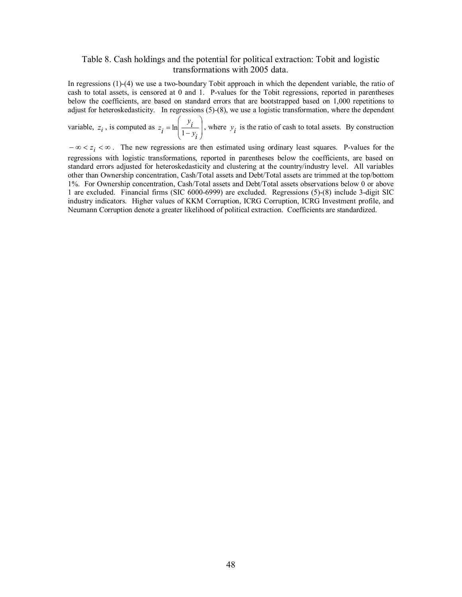## Table 8. Cash holdings and the potential for political extraction: Tobit and logistic transformations with 2005 data.

In regressions  $(1)-(4)$  we use a two-boundary Tobit approach in which the dependent variable, the ratio of cash to total assets, is censored at 0 and 1. P-values for the Tobit regressions, reported in parentheses below the coefficients, are based on standard errors that are bootstrapped based on 1,000 repetitions to adjust for heteroskedasticity. In regressions  $(5)-(8)$ , we use a logistic transformation, where the dependent

variable,  $z_i$ , is computed as  $z_i = \ln \left| \frac{z_i}{1 - y_i} \right|$ , v  $\vert$   $\vert$  $\mathcal{F}$ ˆ  $\vert$  1- $\overline{\phantom{a}}$  $\binom{1}{1}$  $\left( \begin{array}{c} \cdot \end{array} \right)$  $=\ln\left(\frac{\cdot l}{1-y_i}\right)$  $z_i = \ln\left(\frac{y_i}{1 - y_i}\right)$ , where  $y_i$  is the ratio of cash to total assets. By construction

 $-\infty < z_i < \infty$ . The new regressions are then estimated using ordinary least squares. P-values for the regressions with logistic transformations, reported in parentheses below the coefficients, are based on standard errors adjusted for heteroskedasticity and clustering at the country/industry level. All variables other than Ownership concentration, Cash/Total assets and Debt/Total assets are trimmed at the top/bottom 1%. For Ownership concentration, Cash/Total assets and Debt/Total assets observations below 0 or above 1 are excluded. Financial firms (SIC 6000-6999) are excluded. Regressions (5)-(8) include 3-digit SIC industry indicators. Higher values of KKM Corruption, ICRG Corruption, ICRG Investment profile, and Neumann Corruption denote a greater likelihood of political extraction. Coefficients are standardized.